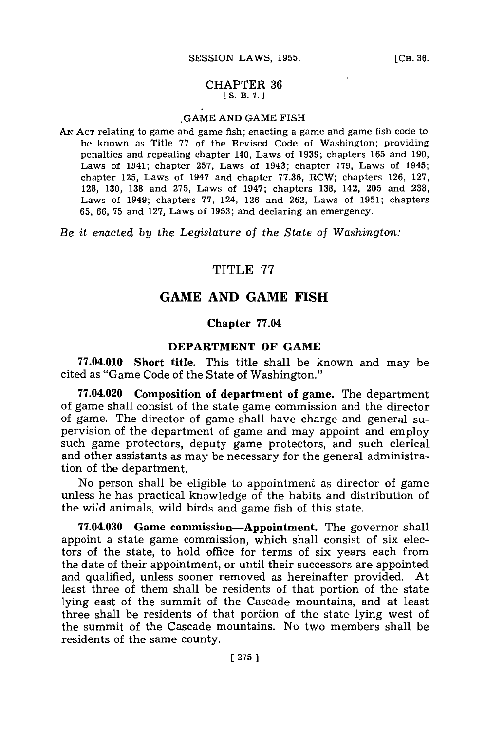#### CHAPTER **36 [ S. B. 7..]**

#### **GAME AND GAME** FISH

**AN ACT** relating to game and game fish; enacting a game and game fish code to be known as Title **77** of the Revised Code of Washington; providing penalties and repealing chapter 140, Laws of **1939;** chapters **165** and **190,** Laws of 1941; chapter **257,** Laws of 1943; chapter **179,** Laws of 1945; chapter **125,** Laws of 1947 and chapter **77.36,** RCW; chapters **126, 127, 128, 130, 138** and **275,** Laws of 1947; chapters **138,** 142, **205** and **238,** Laws of 1949; chapters **77,** 124, **126** and **262,** Laws of **1951;** chapters **65, 66, 75** and **127,** Laws of **1953;** and declaring an emergency.

*Be it enacted by the Legislature of the State of Washington:*

## TITLE **77**

# **GAME AND GAME FISH**

### **Chapter 77.04**

#### **DEPARTMENT OF GAME**

**77.04.010 Short title.** This title shall be known and may be cited as "Game Code of the State of Washington."

**77.04.020 Composition of department of game.** The department of game shall consist of the state game commission and the director *of* game. The director of game shall have charge and general supervision of the department of game and may appoint and employ such game protectors, deputy game protectors, and such clerical and other assistants as may be necessary for the general administration of the department.

No person shall be eligible to appointment as director of game unless he has practical knowledge of the habits and distribution of the wild animals, wild birds and game fish of this state.

**77.04.030 Game** commission-Appointment. The governor shall appoint a state game commission, which shall consist of six electors of the state, to hold office for terms of six years each from the date of their appointment, or until their successors are appointed and qualified, unless sooner removed as hereinafter provided. At least three of them shall be residents of that portion of the state lying east of the summit of the Cascade mountains, and at least three shall be residents of that portion of the state lying west of the summit of the Cascade mountains. No two members shall be residents of the same county.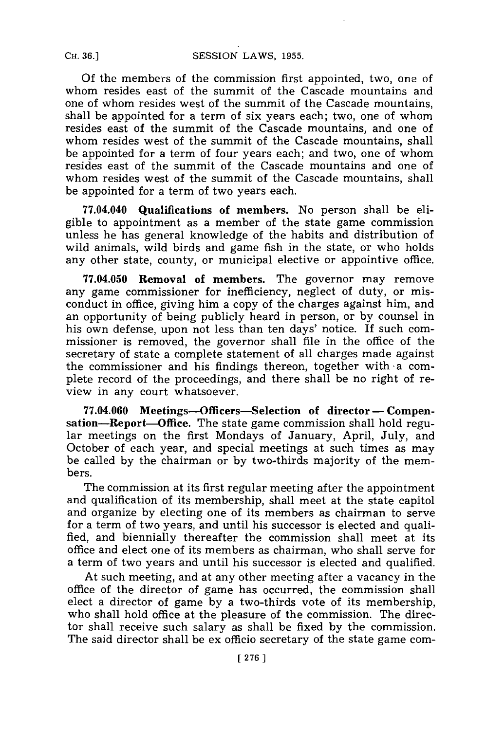**Of** the members of the commission first appointed, two, one of whom resides east of the summit of the Cascade mountains and one of whom resides west of the summit of the Cascade mountains, shall be appointed for a term of six years each; two, one of whom resides east of the summit of the Cascade mountains, and one of whom resides west of the summit of the Cascade mountains, shall be appointed for a term of four years each; and two, one of whom resides east of the summit of the Cascade mountains and one of whom resides west of the summit of the Cascade mountains, shall be appointed for a term of two years each.

**77.04.040 Qualifications of members.** No person shall be eligible to appointment as a member of the state game commission unless he has general knowledge of the habits and distribution of wild animals, wild birds and game fish in the state, or who holds any other state, county, or municipal elective or appointive office.

**77.04.050 Removal of members.** The governor may remove any game commissioner for inefficiency, neglect of duty, or misconduct in office, giving him a copy of the charges against him, and an opportunity of being publicly heard in person, or **by** counsel in his own defense, upon not less than ten days' notice. If such commissioner is removed, the governor shall file in the office of the secretary of state a complete statement of all charges made against the commissioner and his findings thereon, together with a complete record of the proceedings, and there shall be no right of review in any court whatsoever.

**77.04.060 Meetings-Officers-Selection of director - Compensation-Report-Office. The** state game commission shall hold **regu**lar meetings on the first Mondays of January, April, July, **and** October of each year, and special meetings at such times as may be called **by** the chairman or **by** two-thirds majority of the members.

The commission at its first regular meeting after the appointment and qualification of its membership, shall meet at the state capitol and organize **by** electing one of its members as chairman to serve for a term of two years, and until his successor is elected and qualified, and biennially thereafter the commission shall meet at its office and elect one of its members as chairman, who shall serve for a term of two years and until his successor is elected and qualified.

At such meeting, and at any other meeting after a vacancy in the office of the director of game has occurred, the commission shall elect a director of game **by** a two-thirds vote of its membership, who shall hold office at the pleasure of the commission. The director shall receive such salary as shall be fixed **by** the commission. The said director shall be ex officio secretary of the state game com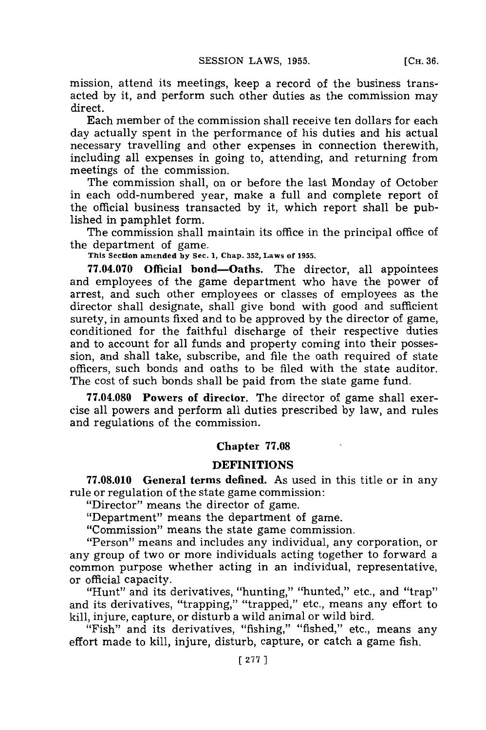mission, attend its meetings, keep a record of the business transacted **by** it, and perform such other duties as the commission may direct.

Each member of the commission shall receive ten dollars for each day actually spent in the performance of his duties and his actual necessary travelling and other expenses in connection therewith, including all expenses in going to, attending, and returning from meetings of the commission.

The commission shall, on or before the last Monday of October in each odd-numbered year, make a full and complete report of the official business transacted **by** it, which report shall be published in pamphlet form.

The commission shall maintain its office in the principal office of the department of game. **This Section amended by Sec. 1, Chap. 352, Laws of 1955.**

**77.04.070 Official bond-Oaths.** The director, all appointees and employees of the game department who have the power of arrest, and such other employees or classes of employees as the director shall designate, shall give bond with good and sufficient surety, in amounts fixed and to be approved **by** the director of game, conditioned for the faithful discharge of their respective duties and to account for all funds and property coming into their possession, and shall take, subscribe, and file the oath required of state officers, such bonds and oaths to be filed with the state auditor. The cost of such bonds shall be paid from the state game fund.

**77.04.080 Powers of director.** The director of game shall exercise all powers and perform all duties prescribed **by** law, and rules and regulations of the commission.

#### **Chapter 77.08**

# **DEFINITIONS**

**77.08.010 General terms defined.** As used in this title or in any rule or regulation of the state game commission:

"Director" means the director of game.

"Department" means the department of game.

"Commission" means the state game commission.

"Person" means and includes any individual, any corporation, or any group of two or more individuals acting together to forward a common purpose whether acting in an individual, representative, or official capacity.

"Hunt" and its derivatives, "hunting," "hunted," etc., and "trap" and its derivatives, "trapping," "trapped," etc., means any effort to kill, injure, capture, or disturb a wild animal or wild bird.

"Fish" and its derivatives, "fishing," *"fished,"* etc., means any effort made to kill, injure, disturb, capture, or catch a game fish.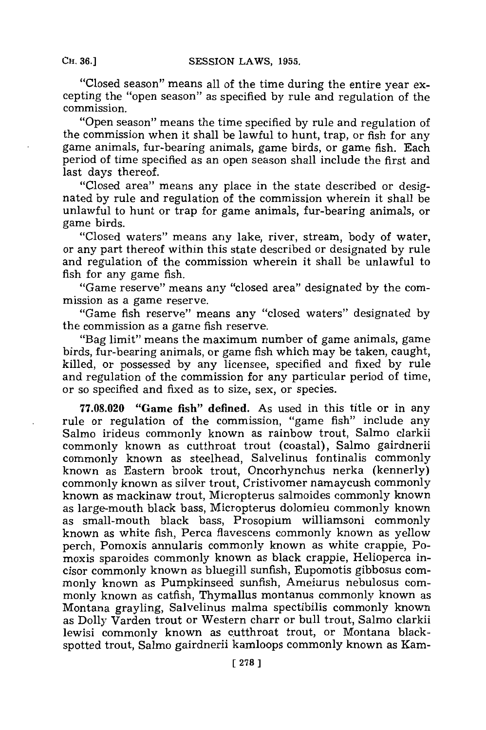"Closed season" means all of the time during the entire year excepting the "open season" as specified **by** rule and regulation of the commission.

''Open season"~ means the time specified **by** rule and regulation of the commission when it shall be lawful to hunt, trap, or fish for any game animals, fur-bearing animals, game birds, or game fish. Each period of time specified as an open season shall include the first and last days thereof.

"Closed area" means any place in the state described or designated **by** rule and regulation of the commission wherein it shall be unlawful to hunt or trap for game animals, fur-bearing animals, or game birds.

"Closed waters" means any lake, river, stream, body of water, or any part thereof within this state described or designated **by** rule and regulation of the commission wherein it shall be unlawful to fish for any game fish.

"Game reserve" means any "closed area" designated **by** the commission as a game reserve.

''Game fish reserve"~ means any ''closed waters'' designated **by** the commission as a game fish reserve.

"Bag limit" means the maximum number of game animals, game birds, fur-bearing animals, or game fish which may be taken, caught, killed, or possessed **by** any licensee, specified and fixed **by** rule and regulation of the commission for any particular period of time, or so specified and fixed as to size, sex, or species.

**77.08.020 "Game fish" defined.** As used in this title or in any rule or regulation of the commission, "game fish" include any Salmo irideus commonly known as rainbow trout, Salmo clarkii commonly known as cutthroat trout (coastal), Salmo gairdnerii commonly known as steelhead, Salvelinus fontinalis commonly known as Eastern brook trout, Oncorhynchus nerka (kennerly) commonly known as silver trout, Cristivomer namaycush commonly known as mackinaw trout, Micropterus salmoides commonly known as large-mouth black bass, Micropterus dolomieu commonly known as small-mouth black bass, Prosopium williamsoni commonly known as white fish, Perca fiavescens commonly known as yellow perch, Pomoxis annularis commonly known as white crappie, Pomoxis sparoides commonly known as black crappie, Helioperca incisor commonly known as bluegill sunfish, Eupomotis gibbosus commonly known as Pumpkinseed sunfish, Ameiurus nebulosus commonly known as catfish, Thymallus montanus commonly known as Montana grayling, Salvelinus malma spectibilis commonly known as Dolly Varden trout or Western charr or bull trout, Salmo clarkii lewisi commonly known as cutthroat trout, or Montana blackspotted trout, Salmo gairdnerii kamloops commonly known as Kam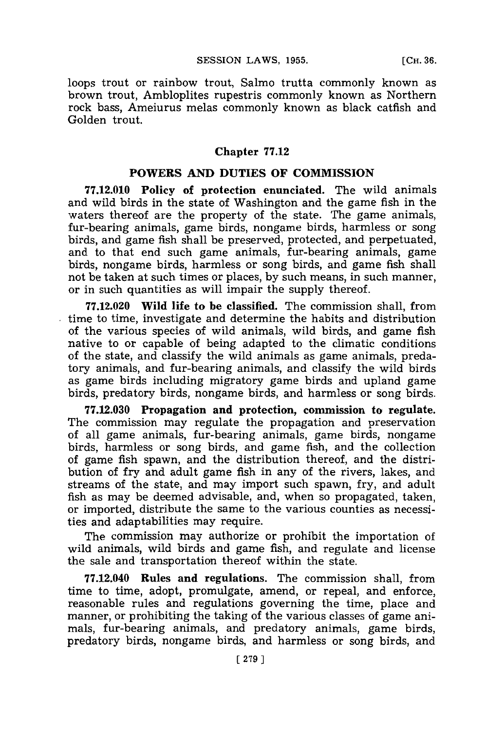loops trout or rainbow trout, Salmo trutta commonly known as brown trout, Ambloplites rupestris commonly known as Northern rock bass, Ameiurus melas commonly known as black catfish and Golden trout.

### **Chapter 77.12**

# **POWERS AND DUTIES OF COMMISSION**

**77.12.010 Policy of protection enunciated. The** wild animals and wild birds in the state of Washington and the game fish in the waters thereof are the property of the state. The game animals, fur-bearing animals, game birds, nongame birds, harmless or song birds, and game fish shall be preserved, protected, and perpetuated, and to that end such game animals, fur-bearing animals, game birds, nongame birds, harmless or song birds, and game fish shall not be taken at such times or places, **by** such means, in such manner, or in such quantities as will impair the supply thereof.

**77.12.020** Wild life to be classified. The commission shall, from time to time, investigate and determine the habits and distribution of the various species of wild animals, wild birds, and game fish native to or capable of being adapted to the climatic conditions of the state, and classify the wild animals as game animals, predatory animals, and fur-bearing animals, and classify the wild birds as game birds including migratory game birds and upland game birds, predatory birds, nongame birds, and harmless or song birds.

**77.12.030 Propagation and protection, commission to regulate.** The commission may regulate the propagation and preservation of all game animals, fur-bearing animals, game birds, nongame birds, harmless or song birds, and game fish, and the collection of game fish spawn, and the distribution thereof, and the distribution of fry and adult game fish in any of the rivers, lakes, and streams of the state, and may import such spawn, fry, and adult fish as may be deemed advisable, and, when so propagated, taken, or imported, distribute the same to the various counties as necessities and adaptabilities may require.

The commission may authorize or prohibit the importation of wild animals, wild birds and game fish, and regulate and license the sale and transportation thereof within the state.

**77.12.040** Rules **and regulations.** The commission shall, from time to time, adopt, promulgate, amend, or repeal, and enforce, reasonable rules and regulations governing the time, place and manner, or prohibiting the taking of the various classes of game animals, fur-bearing animals, and predatory animals, game birds, predatory birds, nongame birds, and harmless or song birds, and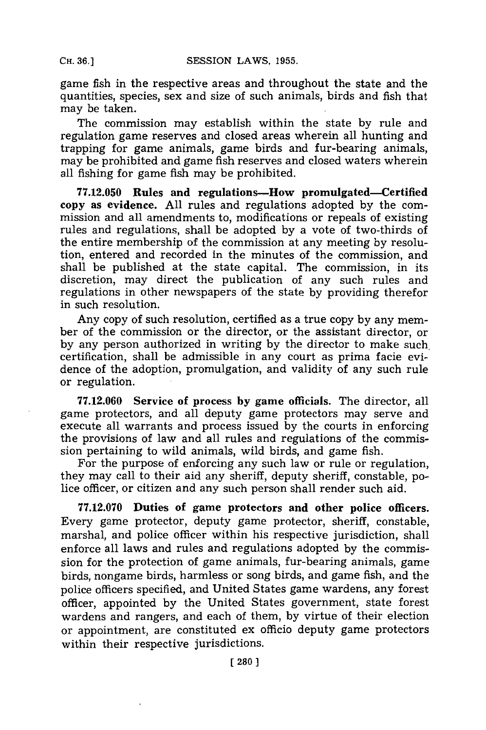game fish in the respective areas and throughout the state and the quantities, species, sex and size of such animals, birds and fish that may be taken.

The commission may establish within the state **by** rule and regulation game reserves and closed areas wherein all hunting and trapping for game animals, game birds and fur-bearing animals, may be prohibited and game fish reserves and closed waters wherein all fishing for game fish may be prohibited.

**77.12.050 Rules and regulations-How promulgated-Certified copy as evidence. All** rules **and** regulations adopted **by** the commission and all amendments to, modifications **or** repeals of existing rules and regulations, shall be adopted **by** a vote of two-thirds of the entire membership of the commission at any meeting **by** resolution, entered and recorded in the minutes of the commission, and shall be published at the state capital. The commission, in its discretion, may direct the publication of any such rules and regulations in other newspapers of the state **by** providing therefor in such resolution.

Any copy of such resolution, certified as a true copy **by** any member of the commission or the director, or the assistant director, or **by** any person authorized in writing **by** the director to make such. certification, shall be admissible in any court as prima facie evidence of the adoption, promulgation, and validity of any such rule or regulation.

**77.12.060 Service of process by game officials.** The director, all game protectors, **and** all deputy game protectors may serve and execute all warrants and process issued **by** the courts in enforcing the provisions of law and all rules and regulations of the commission pertaining to wild animals, wild birds, and game fish.

For the purpose of enforcing any such law or rule or regulation, they may call to their aid any sheriff, deputy sheriff, constable, police officer, or citizen and any such person shall render such aid.

**77.12.070 Duties of game protectors and other police officers.** Every game protector, deputy game protector, sheriff, constable, marshal, and police officer within his respective jurisdiction, shall enforce all laws and rules and regulations adopted **by** the commission for the protection of game animals, fur-bearing animals, game birds, nongame birds, harmless or song birds, and game fish, and the police officers specified, and United States game wardens, any forest officer, appointed **by** the United States government, state forest wardens and rangers, and each of them, **by** virtue of their election or appointment, are constituted ex officio deputy game protectors within their respective jurisdictions.

**CH. 36.]**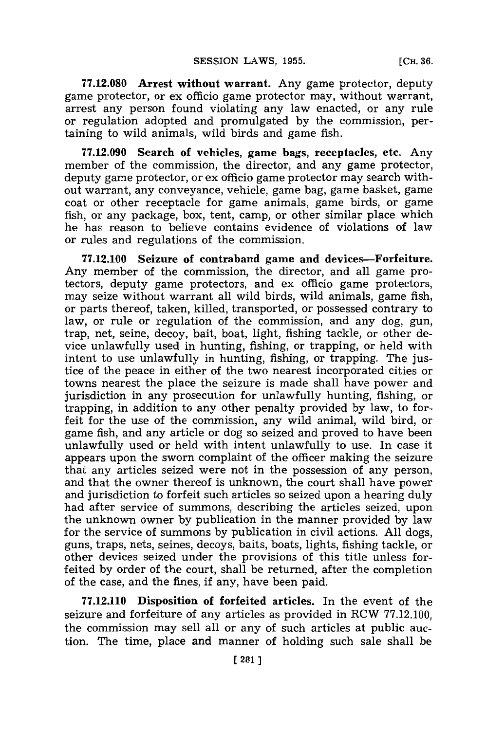**77.12.080 Arrest without warrant.** Any game protector, deputy game protector, or **ex:** officio game protector may, without warrant, arrest any person found violating any law enacted, or any rule or regulation adopted and promulgated **by** the commission, pertaining to wild animals, wild birds and game fish.

**77.12.090** Search of vehicles, game bags, receptacles, etc. Any member of the commission, the director, and any game protector, deputy game protector, or ex officio game protector may search without warrant, any conveyance, vehicle, game bag, game basket, game coat or other receptacle for game animals, game birds, or game fish, or any package, box, tent, camp, or other similar place which he has reason to believe contains evidence of violations of law or rules and regulations of the commission.

**77.12.100** Seizure of contraband game **and devices-Forfeiture.** Any member of the commission, the director, and all game protectors, deputy game protectors, and ex officio game protectors, may seize without warrant all wild birds, wild animals, game fish, or parts thereof, taken, killed, transported, or possessed contrary to law, or rule or regulation of the commission, and any dog, gun, trap, net, seine, decoy, bait, boat, light, fishing tackle, or other device unlawfully used in hunting, fishing, or trapping, or held with intent to use unlawfully in hunting, fishing, or trapping. The justice of the peace in either of the two nearest incorporated cities or towns nearest the place the seizure is made shall have power and jurisdiction in any prosecution for unlawfully hunting, fishing, or trapping, in addition to any other penalty provided **by** law, to forfeit for the use of the commission, any wild animal, wild bird, or game fish, and any article or dog so seized and proved to have been unlawfully used or held with intent unlawfully to use. In case it appears upon the sworn complaint of the officer making the seizure that any articles seized were not in the possession of any person, and that the owner thereof is unknown, the court shall have power and jurisdiction to forfeit such articles so seized upon a hearing duly had after service of summons, describing the articles seized, upon the unknown owner **by** publication in the manner provided **by** law for the service of summons **by** publication in civil actions. **All** dogs, guns, traps, nets, seines, decoys, baits, boats, lights, fishing tackle, or other devices seized under the provisions of this title unless forfeited **by** order of the court, shall be returned, after the completion .of the case, and the fines, if any, have been paid.

**77.12.110** Disposition of forfeited articles. In the event of the seizure and forfeiture of any articles as provided in RCW **77.12.100,** the commission may sell all or any of such articles at public auction. The time, place and manner of holding such sale shall be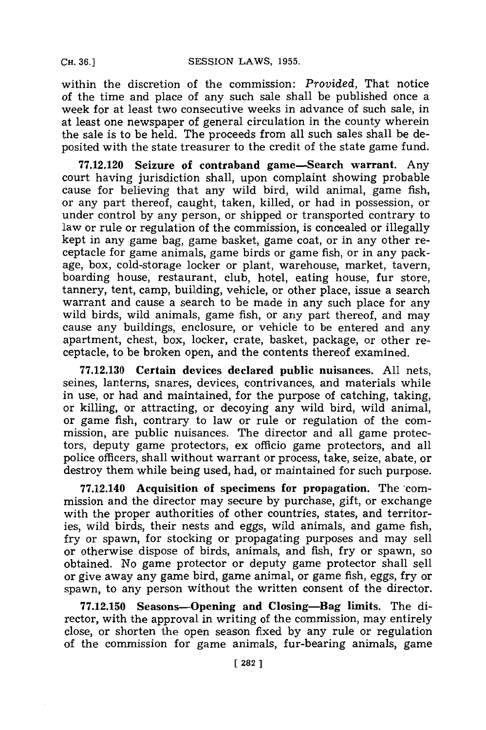within the discretion of the commission: *Provided,* That notice of the time and place of any such sale shall be published once a week for at least two consecutive weeks in advance of such sale, in at least one newspaper of general circulation in the county wherein the sale is to be held. The proceeds from all such sales shall be deposited with the state treasurer to the credit of the state game fund.

**77.12,120** Seizure of contraband game-Search warrant. Any court having jurisdiction shall, upon complaint showing probable cause for believing that any wild bird, wild animal, game fish, or any part thereof, caught, taken, killed, or had in possession, or under control **by** any person, or shipped or transported contrary to law or rule or regulation of the commission, is concealed or illegally kept in any game bag, game basket, game coat, or in any other receptacle for game animals, game birds or game fish, or in any package, box, cold-storage locker or plant, warehouse, market, tavern, boarding house, restaurant, club, hotel, eating house, fur store, tannery, tent, camp, building, vehicle, or other place, issue a search warrant and cause a search to be made in any such place for any wild birds, wild animals, game fish, or any part thereof, and may cause any buildings, enclosure, or vehicle to be entered and any apartment, chest, box, locker, crate, basket, package, or other receptacle, to be broken open, and the contents thereof examined.

**77.12.130 Certain devices declared public** nuisances. **All** nets, seines, lanterns, snares, devices, contrivances, and materials while in use, or had and maintained, for the purpose of catching, taking, or killing, or attracting, or decoying any wild bird, wild animal, or game fish, contrary to law or rule or regulation of the commission, are public nuisances. The director and all game protectors, deputy game protectors, ex officio game protectors, and all police officers, shall without warrant or process, take, seize, abate, or destroy them while being used, had, or maintained for such purpose.

**77.12.140** Acquisition of specimens for propagation. The'commission and the director may secure **by** purchase, gift, or exchange with the proper authorities of other countries, states, and territories, wild birds, their nests and eggs, wild animals, and game fish, fry or spawn, for stocking or propagating purposes and may sell or otherwise dispose of birds, animals, and fish, fry or spawn, so obtained. No game protector or deputy game protector shall sell or give away any game bird, game animal, or game fish, eggs, fry or spawn, to any person without the written consent of the director.

**77.12.150** Seasons-Opening **and Closing-Bag limits. The director, with the** approval in writing of the commission, may entirely close, or shorten the open season fixed **by** any rule or regulation of the commission for game animals, fur-bearing animals, game

**CH. 36.1**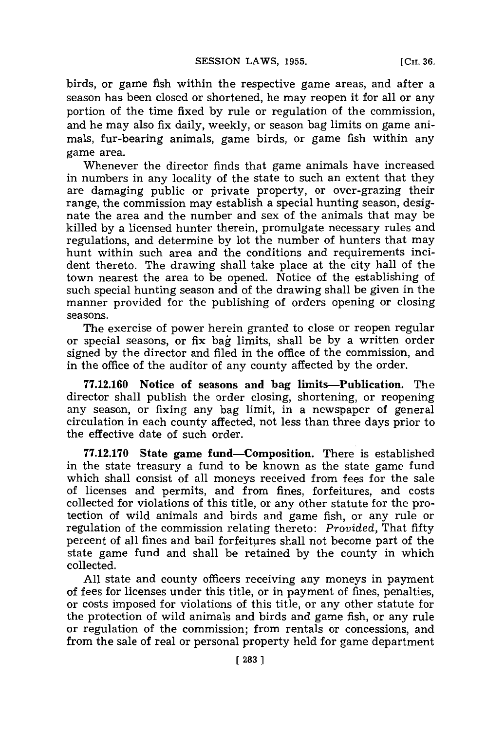**[CH. 36.**

birds, or game fish within the respective game areas, and after a season has been closed or shortened, he may reopen it for all or any portion of the time fixed **by** rule or regulation of the commission, and he may also fix daily, weekly, or season bag limits on game animals, fur-bearing animals, game birds, or game fish within any game area.

Whenever the director finds that game animals have increased in numbers in any locality of the state to such an extent that they are damaging public or private property, or over-grazing their range, the commission may establish a special hunting season, designate the area and the number and sex of the animals that may be killed **by** a licensed hunter therein, promulgate necessary rules and regulations, and determine **by** lot the number of hunters that may hunt within such area and the conditions and requirements incident thereto. The drawing shall take place at the city hall of the town nearest the area to be opened. Notice of the establishing of such special hunting season and of the drawing shall be given in the manner provided for the publishing of orders opening or closing seasons.

The exercise of power herein granted to close or reopen regular or special seasons, or fix bag limits, shall be by a written order signed **by** the director and filed in the office of the commission, and in the office of the auditor of any county affected **by** the order.

**77.12.160** Notice of seasons and **bag** limits-Publication. The director shall publish the order closing, shortening, or reopening any season, or fixing any bag limit, in a newspaper of general circulation in each county affected, not less than three days prior to the effective date of such order.

**77.12.170** State game fund-Composition. There is established in the state treasury a fund to be known as the state game fund which shall consist of all moneys received from fees for the sale of licenses and permits, and from fines, forfeitures, and costs collected for violations of this title, or any other statute for the protection of wild animals and birds and game fish, or any rule or regulation of the commission relating thereto: *Provided,* That fifty percent of all fines and bail forfeitures shall not become part of the state game fund and shall be retained **by** the county in which collected.

**All** state and county officers receiving any moneys in payment of fees for licenses under this title, or in payment of fines, penalties, or costs imposed for violations of this title, or any other statute for the protection of wild animals and birds and game fish, or any rule or regulation of the commission; from rentals or concessions, and from the sale of real or personal property held for game department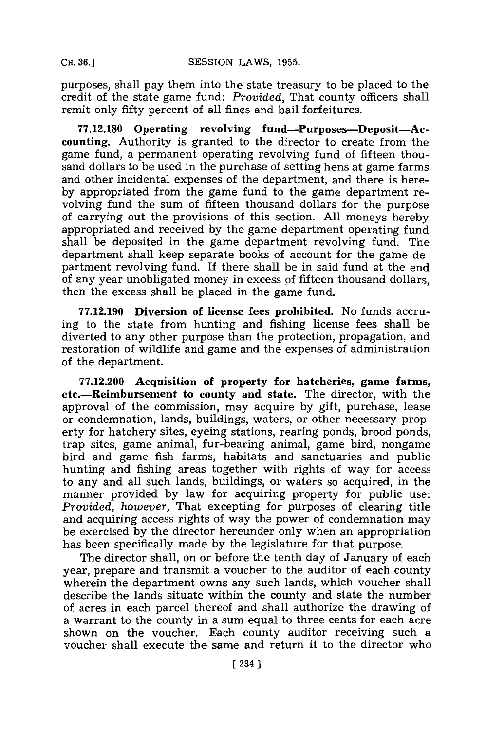purposes, shall pay them into the state treasury to be placed to the credit of the state game fund: *Provided,* That county officers shall remit only fifty percent of all fines and bail forfeitures.

**77.12.180** Operating revolving fund-Purposes-Deposit-Accounting. Authority is granted to the director to create from the game fund, a permanent operating revolving fund of fifteen thousand dollars to be used in the purchase of setting hens at game farms and other incidental expenses of the department, and there is here**by** appropriated from the game fund to the game department revolving fund the sum of fifteen thousand dollars for the purpose of carrying out the provisions of this section. **All** moneys hereby appropriated and received **by** the game department operating fund shall be deposited in the game department revolving fund. The department shall keep separate books of account for the game department revolving fund. If there shall be in said fund at the end of any year unobligated money in excess **of** fifteen thousand dollars, then the excess shall be placed in the game fund.

**77.12.190 Diversion of license fees prohibited.** No funds accruing to the state from hunting and fishing license fees shall be diverted to any other purpose than the protection, propagation, and restoration of wildlife and game and the expenses of administration of the department.

**77.12.200 Acquisition of property for hatcheries, game farms, etc.-Reimbursement to county and state. The** director, with the **approval** of the commission, may acquire **by** gift, purchase, lease or condemnation, lands, buildings, waters, or other necessary property for hatchery sites, eyeing stations, rearing ponds, brood ponds, trap sites, game animal, fur-bearing animal, game bird, nongame bird and game fish farms, habitats and sanctuaries and public hunting and fishing areas together with rights of way for access to any and all such lands, buildings, or waters so acquired, in the manner provided **by** law for acquiring property for public use: *Provided, however,* That excepting for purposes of clearing title and acquiring access rights of way the power of condemnation may be exercised **by** the director hereunder only when an appropriation has been specifically made **by** the legislature for that purpose.

The director shall, on or before the tenth day of January of each year, prepare and transmit a voucher to the auditor of each county wherein the department owns any such lands, which voucher shall describe the lands situate within the county and state the number of acres in each parcel thereof and shall authorize the drawing of a warrant to the county in a sum equal to three cents for each acre shown on the voucher. Each county auditor receiving such a voucher shall execute the same and return it to the director who

**CH. 36.]**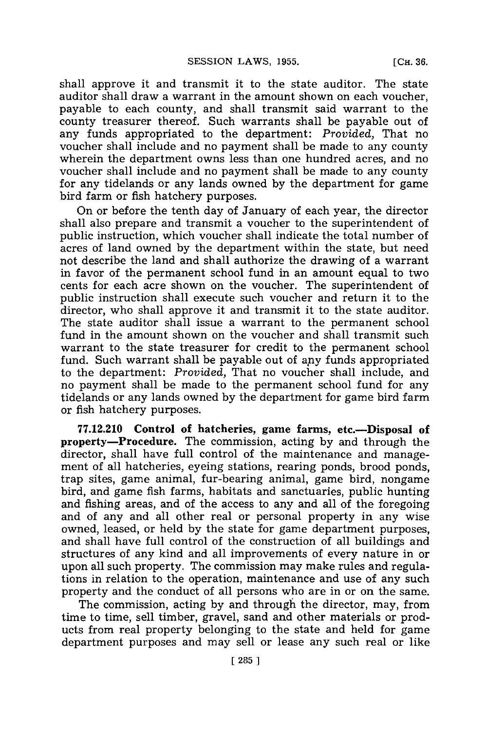shall approve it and transmit it to the state auditor. The state auditor shall draw a warrant in the amount shown on each voucher, payable to each county, and shall transmit said warrant to the county treasurer thereof. Such warrants shall be payable out of any funds appropriated to the department: *Provided,* That no voucher shall include and no payment shall be made to any county wherein the department owns less than one hundred acres, and no voucher shall include and no payment shall be made to any county for any tidelands or any lands owned by the department for game bird farm or fish hatchery purposes.

On or before the tenth day of January of each year, the director shall also prepare and transmit a voucher to the superintendent of public instruction, which voucher shall indicate the total number of acres of land owned **by** the department within the state, but need not describe the land and shall authorize the drawing of a warrant **in** favor of the permanent school fund in an amount equal to two cents for each acre shown on the voucher. The superintendent of public instruction shall execute such voucher and return it to the director, who shall approve it and transmit it to the state auditor. The state auditor shall issue a warrant to the permanent school fund in the amount shown on the voucher and shall transmit such warrant to the state treasurer for credit to the permanent school fund. Such warrant shall be payable out of any funds appropriated to the department: *Provided,* That no voucher shall include, and no payment shall be made to the permanent school fund for any tidelands or any lands owned **by** the department for game bird farm or fish hatchery purposes.

**77.12.210 Control of hatcheries, game farms, etc.-Disposal of property-Procedure. The commission, acting by and through the** director, shall have full control of the maintenance and management of all hatcheries, eyeing stations, rearing ponds, brood ponds, trap sites, game animal, fur-bearing animal, game bird, nongame bird, and game fish farms, habitats and sanctuaries, public hunting and fishing areas, and of the access to any and all of the foregoing and of any and all other real or personal property in any wise owned, leased, or held **by** the state for game department purposes, and shall have full control of the construction of all buildings and structures of any kind and all improvements of every nature in or upon all such property. The commission may make rules and regulations in relation to the operation, maintenance and use of any such property and the conduct of all persons who are in or on the same.

The commission, acting **by** and through the director, may, from time to time, sell timber, gravel, sand and other materials or products from real property belonging to the state and held for game department purposes and may sell or lease any such real or like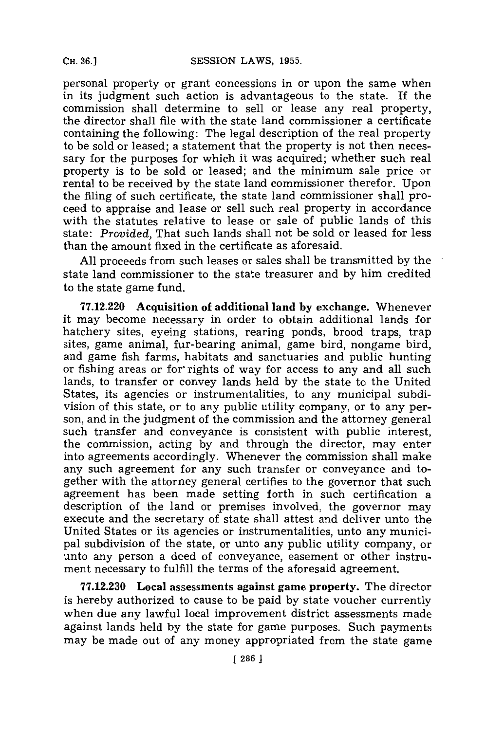personal property or grant concessions in or upon the same when in its judgment such action is advantageous to the state. If the commission shall determine to sell or lease any real property, the director shall file with the state land commissioner a certificate containing the following: The legal description of the real property to be sold or leased; a statement that the property is not then necessary for the purposes for which it was acquired; whether such real property is to be sold or leased; and the minimum sale price or rental to be received **by** the state land commissioner therefor. Upon the filing of such certificate, the state land commissioner shall proceed to appraise and lease or sell such real property in accordance with the statutes relative to lease or sale of public lands of this state: *Provided,* That such lands shall not be sold or leased for less than the amount fixed in the certificate as aforesaid.

**All** proceeds from such leases or sales shall be transmitted **by** the state land commissioner **to** the state treasurer and **by** him credited to the state game fund.

**77.12.220 Acquisition of additional land by exchange.** Whenever it may become necessary in order to obtain additional lands for hatchery sites, eyeing stations, rearing ponds, brood traps, trap sites, game animal, fur-bearing animal, game bird, nongame bird, and game fish farms, habitats and sanctuaries and public hunting or fishing areas or for rights of way for access to any and all such lands, to transfer or convey lands held **by** the state to the United States, its agencies or instrumentalities, to any municipal subdivision of this state, or to any public utility company, or to any person, and in the judgment of the commission and the attorney general such transfer and conveyance is consistent with public interest, the commission, acting **by** and through the director, may enter into agreements accordingly. Whenever the commission shall make any such agreement for any such transfer or conveyance and together with the attorney general certifies to the governor that such agreement has been made setting forth in such certification a description of the land or premises involved, the governor may execute and the secretary of state shall attest and deliver unto the United States or its agencies or instrumentalities, unto any municipal subdivision of the state, or unto any public utility company, or unto any person a deed of conveyance, easement or other instrument necessary to fulfill the terms of the aforesaid agreement.

**77.12.230 Local assessments against game property. The director** is hereby authorized to cause to be paid **by** state voucher currently when due any lawful local improvement district assessments made against lands held **by** the state for game purposes. Such payments may be made out of any money appropriated from the state game

**CH. 36.]**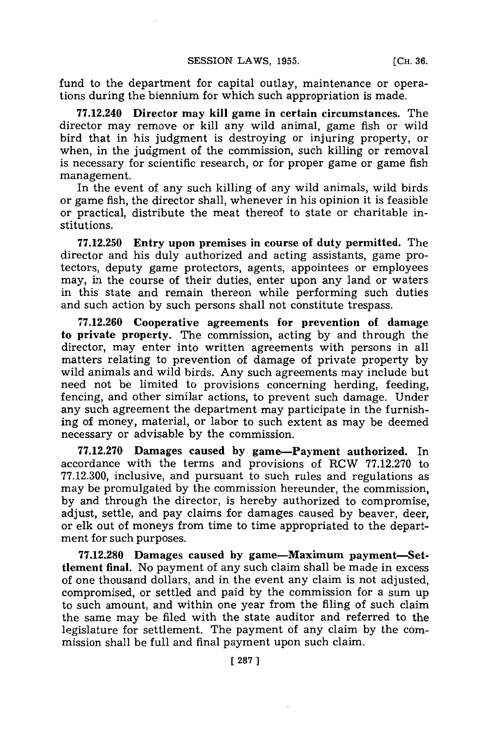fund to the department for capital outlay, maintenance or operations during the biennium for which such appropriation is made.

**77.12.240** Director may kill game in certain circumstances. The director may remove or kill any wild animal, game fish or wild bird that in his judgment is destroying or injuring property, or when, in the judgment of the commission, such killing or removal is necessary for scientific research, or for proper game or game fish management.

In the event of any such killing of any wild animals, wild birds or game fish, the director shall, whenever in his opinion it is feasible or practical, distribute the meat thereof to state or charitable institutions.

**77.12.250** Entry **upon** premises in course of duty permitted. The director and his duly authorized and acting assistants, game protectors, deputy game protectors, agents, appointees or employees may, in the course of their duties, enter upon any land or waters in this state and remain thereon while performing such duties and such action **by** such persons shall not constitute trespass.

**77.12.260** Cooperative agreements for prevention of damage to private property. The commission, acting **by** and through the director, may enter into written agreements with persons in all matters relating to prevention of damage of private property **by** wild animals and wild birds. Any such agreements may include but need not be limited to provisions concerning herding, feeding, fencing, and other similar actions, to prevent such damage. Under any such agreement the department may participate in the furnishing of money, material, or labor to such extent as may be deemed necessary or advisable **by** the commission.

**77.12.270** Damages caused **by** game-Payment authorized. In accordance with the terms and provisions of RCW **77.12.270** to **77.12.300,** inclusive, and pursuant to such rules and regulations as may be promulgated **by** the commission hereunder, the commission, **by** and through the director, is hereby authorized to compromise, adjust, settle, and pay claims for damages caused **by** beaver, deer, or elk out of moneys from time to time appropriated to the department for such purposes.

**77.12.280** Damages caused **by** game-Maximum payment-Settlement final. No payment of any such claim shall be made in excess of one thousand dollars, and in the event any claim is not adjusted, compromised, or settled and paid **by** the commission for a sum up to such amount, and within one year from the filing of such claim the same may be filed with the state auditor and referred to the legislature for settlement. The payment of any claim **by** the commission shall be full and final payment upon such claim.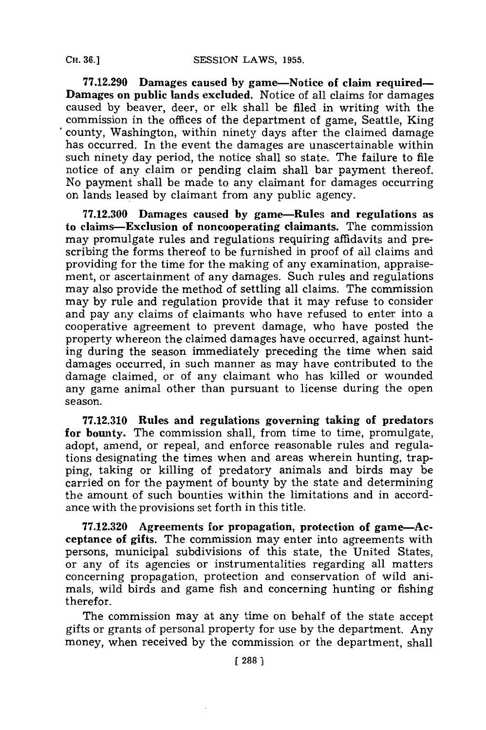**77.12.290 Damages caused by game-Notice of claim required-Damages on public lands excluded. Notice** of all claims for damages caused **by** beaver, deer, or elk shall be filed in writing with the commission in the offices of the department of game, Seattle, King county, Washington, within ninety days after the claimed damage has occurred. In the event the damages are unascertainable within such ninety day period, the notice shall so state. The failure to file notice of any claim or pending claim shall bar payment thereof. No payment shall be made to any claimant for damages occurring on lands leased **by** claimant from any public agency.

**77.12.300 Damages caused by game-Rules and regulations as to claims-Exclusion of noncooperating** claimants. The commission may promulgate rules and regulations requiring affidavits and prescribing the forms thereof to be furnished in proof of all claims and providing for the time for the making of any examination, appraisement, or ascertainment of any damages. Such rules and regulations may also provide the method of settling all claims. The commission may **by** rule and regulation provide that it may refuse to consider and pay any claims of claimants who have refused to enter into a cooperative agreement to prevent damage, who have posted the property whereon the claimed damages have occurred, against hunting during the season immediately preceding the time when said damages occurred, in such manner as may have contributed to the damage claimed, or of any claimant who has killed or wounded any game animal other than pursuant to license during the open season.

**77.12.310 Rules and regulations governing taking of predators for bounty.** The commission shall, from time to time, promulgate, adopt, amend, or repeal, and enforce reasonable rules and regulations designating the times when and areas wherein hunting, trapping, taking or killing of predatory animals and birds may be carried on for the payment of bounty **by** the state and determining the amount of such bounties within the limitations and in accordance with the provisions set forth in this title.

**77.12.320** Agreements **for propagation, protection of game-Acceptance of gifts. The** commission may enter into agreements with persons, municipal subdivisions of this state, the United States, or any of its agencies or instrumentalities regarding all matters concerning propagation, protection and conservation of wild animals, wild birds and game fish and concerning hunting or fishing therefor.

The commission may at any time on behalf of the state accept gifts or grants of personal property for use **by** the department. Any money, when received **by** the commission or the department, shall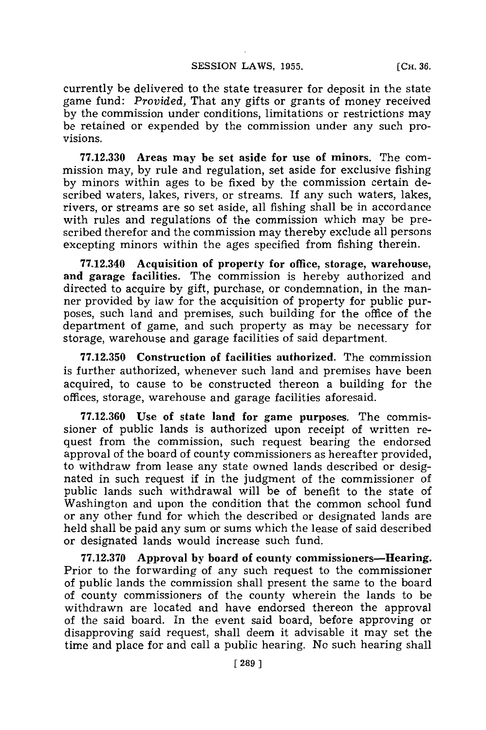**SESSION LAWS, 1955.** 

**[CH. 36.**

currently be delivered to the state treasurer for deposit in the state game fund: *Provided,* That any gifts or grants of money received **by** the commission under conditions, limitations or restrictions may be retained or expended **by** the commission under any such provisions.

**77.12.330** Areas may be set aside **for use of minors.** The commission may, **by** rule and regulation, set aside for exclusive fishing **by** minors within ages to be fixed **by** the commission certain described waters, lakes, rivers, or streams. **If** any such waters, lakes, rivers, or streams are so set aside, all fishing shall be in accordance with rules and regulations of the commission which may be prescribed therefor and the commission may thereby exclude all persons excepting minors within the ages specified from fishing therein.

**77.12.340 Acquisition of property for office, storage, warehouse, and garage facilities. The** commission is hereby authorized and directed to acquire **by** gift, purchase, or condemnation, in the manner provided **by** law for the acquisition of property for public purposes, such land and premises, such building for the office of the department of game, and such property as may be necessary for storage, warehouse and garage facilities of said department.

**77.12.350** Construction of **facilities** authorized. The commission is further authorized, whenever such land and premises have been acquired, to cause to be constructed thereon a building for the offices, storage, warehouse and garage facilities aforesaid.

**77.12.360 Use of state land for game purposes. The** commissioner of public lands is authorized upon receipt of written request from the commission, such request bearing the endorsed approval of the board of county commissioners as hereafter provided, to withdraw from lease any state owned lands described or designated in such request if in the judgment of the commissioner of public lands such withdrawal will be of benefit to the state of Washington and upon the condition that the common school fund or any other fund for which the described or designated lands are held shall be paid any sum or sums which the lease of said described or designated lands would increase such fund.

**77.12.370 Approval by board of county commissioners-Hearing.** Prior to the forwarding of any such request to the commissioner of public lands the commission shall present the same to the board of county commissioners of the county wherein the lands to be withdrawn are located and have endorsed thereon the approval of the said board. In the event said board, before approving or disapproving said request, shall deem it advisable it may set the time and place for and call a public hearing. No such hearing shall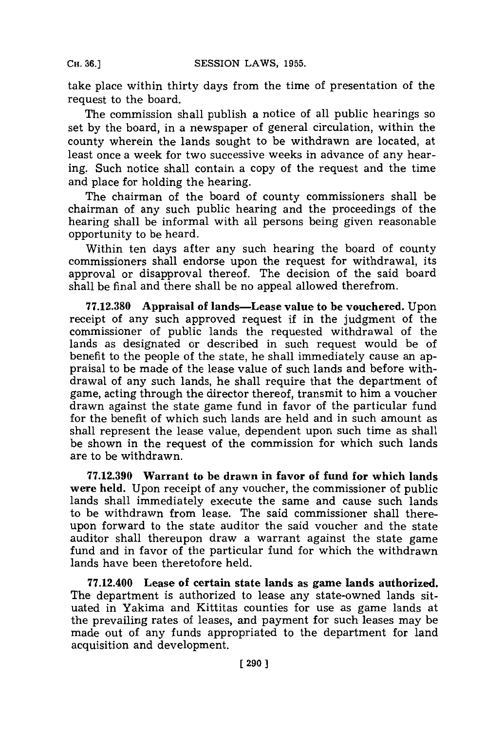take place within thirty days from the time of presentation of the request to the board.

The commission shall publish a notice of all public hearings so set **by** the board, in a newspaper of general circulation, within the county wherein the lands sought to be withdrawn are located, at least once a week for two successive weeks in advance of any hearing. Such notice shall contain a copy of the request and the time and place for holding the hearing.

The chairman of the board of county commissioners shall be chairman of any such public hearing and the proceedings of the hearing shall be informal with all persons being given reasonable opportunity to be heard.

Within ten days after any such hearing the board of county commissioners shall endorse upon the request for withdrawal, its approval or disapproval thereof. The decision of the said board shall be final and there shall be no appeal allowed therefrom.

**77.12.380** Appraisal of lands-Lease value to be vouchered. Upon receipt of any such approved request if in the judgment of the commissioner of public lands the requested withdrawal of the lands as designated or described in such request would be of benefit to the people of the state, he shall immediately cause an appraisal to be made of the lease value of such lands and before withdrawal of any such lands, he shall require that the department of game, acting through the director thereof, transmit to him a voucher drawn against the state game fund in favor of the particular fund for the benefit of which such lands are held and in such amount as shall represent the lease value, dependent upon such time as shall be shown in the request of the commission for which such lands are to be withdrawn.

**77.12.390 Warrant to be drawn in favor of fund for which lands** were held. Upon receipt of any voucher, the commissioner of public lands shall immediately execute the same and cause such lands to be withdrawn from lease. The said commissioner shall thereupon forward to the state auditor the said voucher and the state auditor shall thereupon draw a warrant against the state game fund and in favor of the particular fund for which the withdrawn lands have been theretofore held.

**77.12.400 Lease of certain state lands as game lands authorized. The** department is authorized to lease any state-owned lands situated in Yakima and Kittitas counties for use as game lands at the prevailing rates of leases, and payment for such leases may be made out of any funds appropriated to the department for land acquisition and development.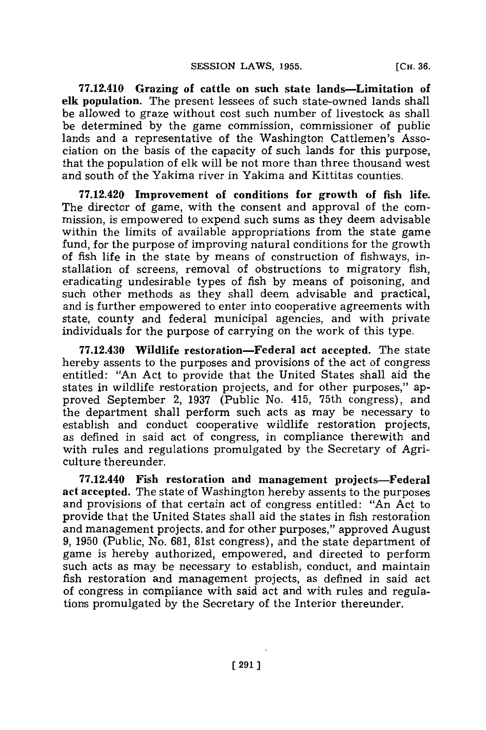**77.12.410 Grazing of cattle on such state lands-Limitation of elk population. The present lessees of such state-owned** lands shall be allowed to graze without cost such number of livestock as shall be determined **by** the game commission, commissioner of public lands and a representative of the Washington Cattlemen's Association on the basis of the capacity of such lands for this purpose, that the population of elk will be not more than three thousand west and south of the Yakima river in Yakima and Kittitas counties.

**77.12.420 Improvement of conditions for growth of fish life.** The director of game, with the consent and approval of the commission, is empowered to expend such sums as they deem advisable within the limits of available appropriations from the state game fund, for the purpose of improving natural conditions for the growth of fish life in the state **by** means of construction of fishways, installation of screens, removal of obstructions to migratory fish, eradicating undesirable types of fish **by** means of poisoning, and such other methods as they shall deem advisable and practical, and is further empowered to enter into cooperative agreements with state, county and federal municipal agencies, and with private individuals for the purpose of carrying on the work of this type.

**77.12.430 Wildlife restoration-Federal act accepted.** The state hereby assents to the purposes and provisions of the act of congress entitled: "An Act to provide that the United States shall aid the states in wildlife restoration projects, and for other purposes," approved September 2, **1937** (Public No. 415, 75th congress), and the department shall perform such acts as may be necessary to establish and conduct cooperative wildlife restoration projects, as defined in said act of congress, in compliance therewith and with rules and regulations promulgated **by** the Secretary of Agriculture thereunder.

77.12.440 Fish restoration **and management projects-Federal act accepted.** The state of Washington hereby assents to the purposes and provisions of that certain act of congress entitled: "An Act to provide that the United States shall aid the states in fish restoration and management projects, and for other purposes," approved August **9, 1950** (Public, No. **681,** 81st congress), and the state department of game is hereby authorized, empowered, and directed to perform such acts as may be necessary to establish, conduct, and maintain fish restoration and management projects, as defined in said act of congress in compliance with said act and with rules and regulations promulgated **by** the Secretary of the Interior thereunder.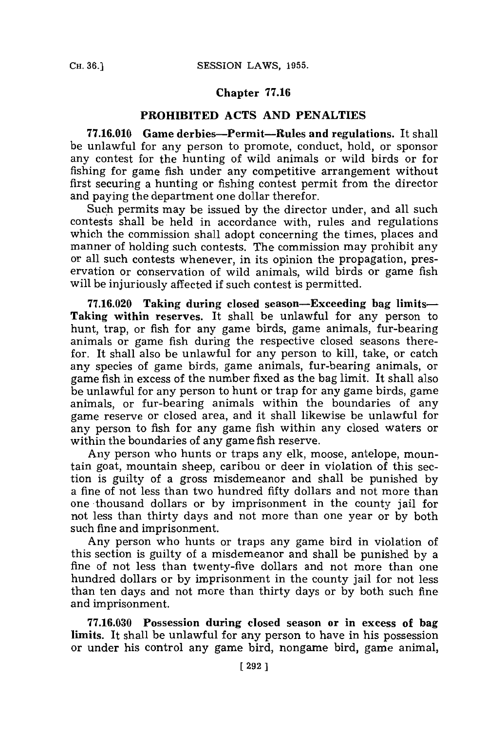#### **Chapter 77.16**

#### **PROHIBITED ACTS AND PENALTIES**

**77.16.010 Game derbies-Permit-Rules and regulations.** It shall be unlawful for any person to promote, conduct, hold, or sponsor any contest for the hunting of wild animals or wild birds or for fishing for game fish under any competitive arrangement without first securing a hunting or fishing contest permit from the director and paying the department one dollar therefor.

Such permits may be issued by the director under, and all such contests shall be held in accordance with, rules and regulations which the commission shall adopt concerning the times, places and manner of holding such contests. The commission may prohibit any or all such contests whenever, in its opinion the propagation, preservation or conservation of wild animals, wild birds or game fish will be injuriously affected if such contest is permitted.

**77.16.020 Taking during closed season-Exceeding bag** limits-**Taking within reserves.** It shall be unlawful for any person to hunt, trap, or fish for any game birds, game animals, fur-bearing animals or game fish during the respective closed seasons therefor. It shall also be unlawful for any person to kill, take, or catch any species of game birds, game animals, fur-bearing animals, or game fish in excess of the number fixed as the bag limit. It shall also be unlawful for any person to hunt or trap for any game birds, game animals, or fur-bearing animals within the boundaries of any game reserve or closed area, and it shall likewise be unlawful for any person to fish for any game fish within any closed waters or within the boundaries of any game fish reserve.

Any person who hunts or traps any elk, moose, antelope, mountain goat, mountain sheep, caribou or deer in violation of this section is guilty of a gross misdemeanor and shall be punished **by** a fine of not less than two hundred fifty dollars and not more than one -thousand dollars or **by** imprisonment in the county jail for not less than thirty days and not more than one year or **by** both such fine and imprisonment.

Any person who hunts or traps any game bird in violation of this section is guilty of a misdemeanor and shall be punished **by** a fine of not less than twenty-five dollars and not more than one hundred dollars or **by** imprisonment in the county jail for not less than ten days and not more than thirty days or **by** both such fine and imprisonment.

**77.16.030 Possession during closed season or in excess of bag limits. It shall be unlawful for any person** to have in his possession **or under his control any game bird, nongame bird, game animal,**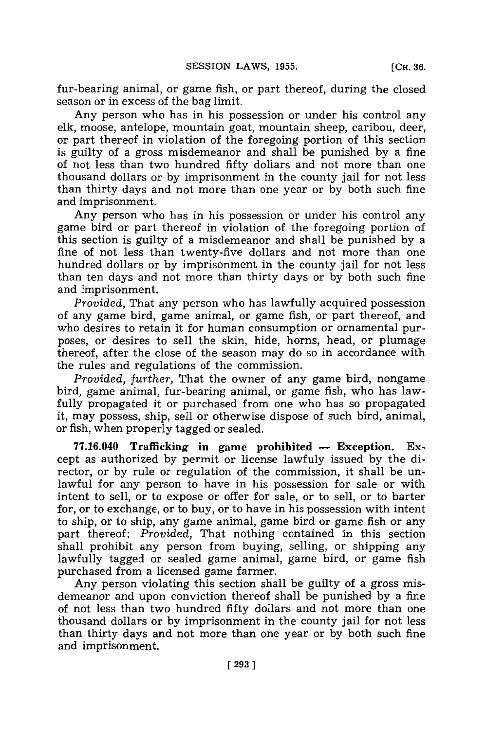fur-bearing animal, or game fish, or part thereof, during the closed season or in excess of the bag limit.

Any person who has in his possession or under his control any elk, moose, antelope, mountain goat, mountain sheep, caribou, deer, or part thereof in violation of the foregoing portion of this section is guilty of a gross misdemeanor and shall be punished **by** a fine of not less than two hundred fifty dollars and not more than one thousand dollars or **by** imprisonment in the county jail for not less than thirty days and not more than one year or **by** both such fine and imprisonment.

Any person who has in his possession or under his control any game bird or part thereof in violation of the foregoing portion of this section is guilty of a misdemeanor and shall be punished **by** a fine of not less than twenty-five dollars and not more than one hundred dollars or **by** imprisonment in the county jail for not less than ten days and not more than thirty days or **by** both such fine and imprisonment.

*Provided,* That any person who has lawfully acquired possession of any game bird, game animal, or game fish, or part thereof, and who desires to retain it for human consumption or ornamental purposes, or desires to sell the skin, hide, horns, head, or plumage thereof, after the close of the season may do so in accordance with the rules and regulations of the commission.

*Provided, further,* That the owner of any game bird, nongame bird, game animal, fur-bearing animal, or game fish, who has lawfully propagated it or purchased from one who has so propagated it, may possess, ship, sell or otherwise dispose of such bird, animal, or fish, when properly tagged or sealed.

77.16.040 Trafficking in game prohibited - Exception. Except as authorized **by** permit or license lawfuly issued **by** the director, or **by** rule or regulation of the commission, it shall be unlawful for any person to have in his possession for sale or with intent to sell, or to expose or offer for sale, or to sell, or to barter for, or to exchange, or to buy, or to have in his possession with intent to ship, or to ship, any game animal, game bird or game fish or any part thereof: *Provided,* That nothing contained in this section shall prohibit any person from buying, selling, or shipping any lawfully tagged or sealed game animal, game bird, or game fish purchased from a licensed game farmer.

Any person violating this section shall be guilty of a gross misdemeanor and upon conviction thereof shall be punished **by** a fine of not less than two hundred fifty dollars and not more than one thousand dollars or **by** imprisonment in the county jail for not less than thirty days and not more than one year or **by** both such fine and imprisonment.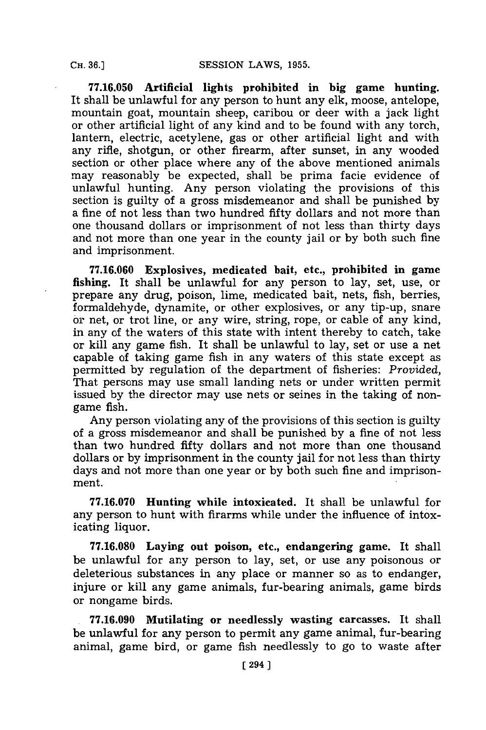**77.16.050 Artificial lights prohibited in big game hunting.** It shall be unlawful for any person to hunt any elk, moose, antelope, mountain goat, mountain sheep, caribou or deer with a jack light or other artificial light of any kind and to be found with any torch, lantern, electric, acetylene, gas or other artificial light and with any rifle, shotgun, or other firearm, after sunset, in any wooded section or other place where any of the above mentioned animals may reasonably be expected, shall be prima facie evidence of unlawful hunting. Any person violating the provisions of this section is guilty of a gross misdemeanor and shall be punished **by** a fine of not less than two hundred fifty dollars and not more than one thousand dollars or imprisonment of not less than thirty days and not more than one year in the county jail or **by** both such fine and imprisonment.

**77.16.060 Explosives, medicated bait, etc., prohibited in game fishing. It shall be unlawful for any person to lay, set, use, or** prepare any drug, poison, lime, medicated bait, nets, fish, berries, formaldehyde, dynamite, or other explosives, or any tip-up, snare or net, or trot line, or any wire, string, rope, or cable of any kind, in any of the waters of this state with intent thereby to catch, take or kill any game fish. It shall be unlawful to lay, set or use a net capable of taking game fish in any waters of this state except as permitted **by** regulation of the department of fisheries: *Provided,* That persons may use small landing nets or under written permit issued **by** the director may use nets or seines in the taking of nongame fish.

Any person violating any of the provisions of this section is guilty of a gross misdemeanor and shall be punished **by** a fine of not less than two hundred fifty dollars and not more than one thousand dollars or **by** imprisonment in the county jail for not less than thirty days and not more than one year or **by** both such fine and imprisonment.

**77.16.070** Hunting while intoxicated. It shall be unlawful for any person to hunt with firarms while under the influence of intoxicating liquor.

**77.16.080** Laying **out** poison, etc., endangering game. It shall be unlawful for any person to lay, set, or use any poisonous or deleterious substances in any place or manner so as to endanger, injure or kill any game animals, fur-bearing animals, game birds or nongame birds.

**.77.16.090 Mutilating or needlessly wasting carcasses. It** shall be unlawful for any person to permit any game animal, fur-bearing animal, game bird, or game fish needlessly to go to waste after

**CH. 36.]**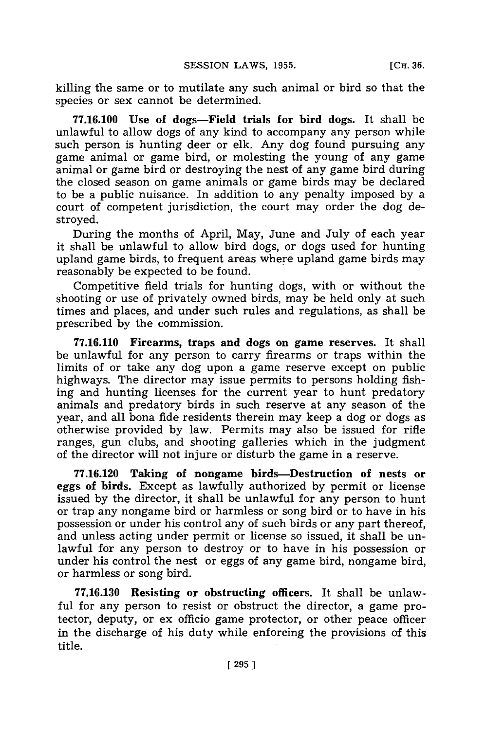killing the same or to mutilate any such animal or bird so that the species or sex cannot be determined.

**77.16.100** Use of dogs-Field trials for bird dogs. It shall be unlawful to allow dogs of any kind to accompany any person while such person is hunting deer or elk. Any dog found pursuing any game animal or game bird, or molesting the young of any game animal or game bird or destroying the nest of any game bird during the closed season on game animals or game birds may be declared to be a public nuisance. In addition to any penalty imposed **by** a court of competent jurisdiction, the court may order the dog destroyed.

During the months of April, May, June and July of each year it shall be unlawful to allow bird dogs, or dogs used for hunting upland game birds, to frequent areas where upland game birds may reasonably be expected to be found.

Competitive field trials for hunting dogs, with or without the shooting or use of privately owned birds, may be held only at such times and places, and under such rules and regulations, as shall be prescribed **by** the commission.

**77.16.110** Firearms, traps and dogs on game reserves. It shall be unlawful for any person to carry firearms or traps within the limits of or take any dog upon a game reserve except on public highways. The director may issue permits to persons holding fishing and hunting licenses for the current year to hunt predatory animals and predatory birds in such reserve at any season of the year, and all bona fide residents therein may keep a dog or dogs as otherwise provided **by** law. Permits may also be issued for rifle ranges, gun clubs, and shooting galleries which in the judgment of the director will not injure or disturb the game in a reserve.

**77.16.120 Taking of nongame birds-Destruction of nests or eggs of birds. Except as lawfully authorized by permit or license** issued **by** the director, **it shall be unlawful for any person to hunt** or trap any nongame bird or harmless or song bird or to have in his possession or under his control any of such birds or any part thereof, and unless acting under permit or license so issued, it shall be unlawful for any person to destroy or to have in his possession or under his control the nest or eggs of any game bird, nongame bird, or harmless or song bird.

**77.16.130** Resisting or obstructing officers. It shall be unlawful for any person to resist or obstruct the director, a game protector, deputy, or ex officio game protector, or other peace officer in the discharge of his duty while enforcing the provisions of this title.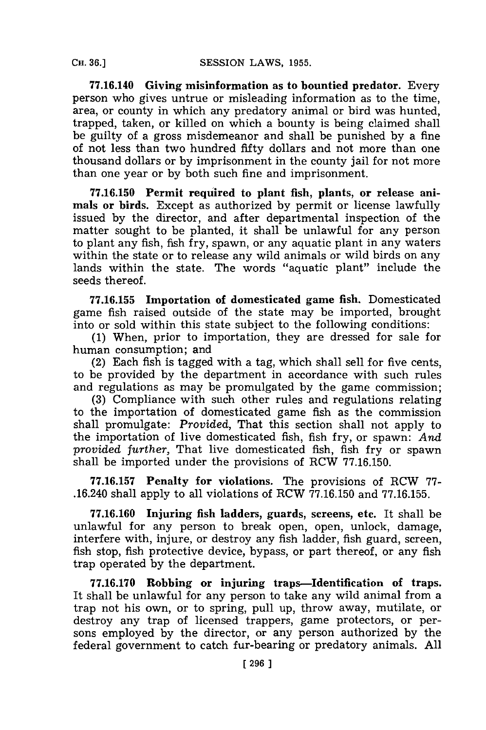**77.16.140 Giving misinformation as to bountied predator.** Every person who gives untrue or misleading information as to the time, area, or county in which any predatory animal or bird was hunted, trapped, taken, or killed on which a bounty is being claimed shall be guilty of a gross misdemeanor and shall be punished **by** a fine of not less than two hundred fifty dollars and not more than one thousand dollars or **by** imprisonment in the county jail for not more than one year or **by** both such fine and imprisonment.

**77.16.150 Permit required to plant** fish, **plants, or release** animals or birds. Except as authorized **by** permit or license lawfully issued **by** the director, and after departmental inspection of the matter sought to be planted, it shall be unlawful for any person to plant any fish, fish fry, spawn, or any aquatic plant in any waters within the state or to release any wild animals or wild birds on any lands within the state. The words "aquatic plant" include the seeds thereof.

**77.16.155 Importation of domesticated game fish.** Domesticated game fish raised outside of the state may be imported, brought into or sold within this state subject to the following conditions:

**(1)** When, prior to importation, they are dressed for sale for human consumption; and

(2) Each fish is tagged with a tag, which shall sell for five cents, to be provided **by** the department in accordance with such rules and regulations as may be promulgated **by** the game commission;

**(3)** Compliance with such other rules and regulations relating to the importation of domesticated game fish as the commission shall promulgate: *Provided,* That this section shall not apply to the importation of live domesticated fish, fish fry, or spawn: *And provided further,* That live domesticated fish, fish fry or spawn shall be imported under the provisions of RCW **77.16.150.**

**77.16.157** Penalty for violations. The provisions of RCW **77-** .16.240 shall apply to all violations of RCW **77.16.150** and **77.16.155.**

**77.16.160 Injuring** fish ladders, guards, screens, etc. It shall be unlawful for any person to break open, open, unlock, damage, interfere with, injure, or destroy any fish ladder, fish guard, screen, fish stop, fish protective device, bypass, or part thereof, or any fish trap operated **by** the department.

**77.16.170 Robbing or injuring traps-Identification of traps.** It shall be unlawful for any person to take any wild animal from a trap not his own, or to spring, pull up, throw away, mutilate, or destroy any trap of licensed trappers, game protectors, or persons employed **by** the director, or any person authorized **by** the federal government to catch fur-bearing or predatory animals. **All**

**CH. 36.]**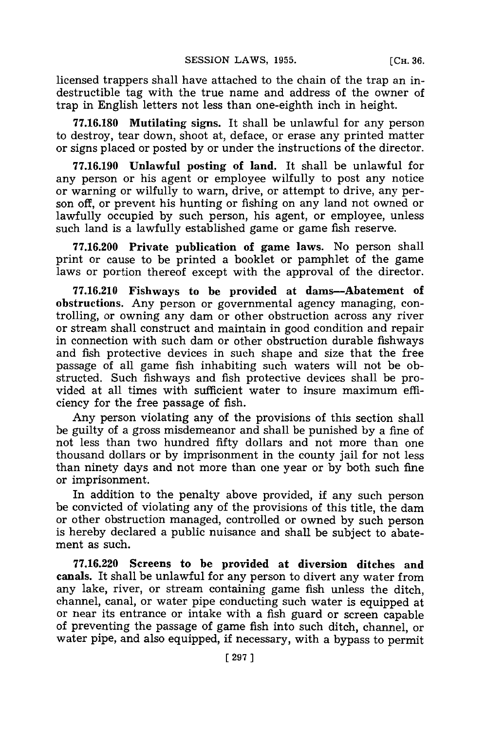licensed trappers shall have attached to the chain of the trap an indestructible tag with the true name and address of the owner of trap in English letters not less than one-eighth inch in height.

**77.16.180** Mutilating signs. It shall be unlawful for any person to destroy, tear down, shoot at, deface, or erase any printed matter or signs placed or posted **by** or under the instructions of the director.

**77.16.190** Unlawful posting of land. It shall be unlawful for any person or his agent or employee wilfully to post any notice or warning or wilfully to warn, drive, or attempt to drive, any person off, or prevent his hunting or fishing on any land not owned or lawfully occupied **by** such person, his agent, or employee, unless such land is a lawfully established game or game fish reserve.

**77.16.200 Private publication of** game laws. No person shall print or cause to be printed a booklet or pamphlet of the game laws or portion thereof except with the approval of the director.

**77.16.210** Fishways to be provided at dams-Abatement of obstructions. Any person or governmental agency managing, controlling, or owning any dam or other obstruction across any river or stream shall construct and maintain in good condition and repair in connection with such dam or other obstruction durable fishways and fish protective devices in such shape and size that the free passage of all game fish inhabiting such waters will not be obstructed. Such fishways and fish protective devices shall be provided at all times with sufficient water to insure maximum efficiency for the free passage of fish.

Any person violating any of the provisions of this section shall be guilty of a gross misdemeanor and shall be punished **by** a fine of not less than two hundred fifty dollars and not more than one thousand dollars or **by** imprisonment in the county jail for not less than ninety days and not more than one year or **by** both such fine or imprisonment.

In addition to the penalty above provided, **if** any such person be convicted of violating any of the provisions of this title, the dam or other obstruction managed, controlled or owned **by** such person is hereby declared a public nuisance and shall be subject to abatement as such.

**77.16.220 Screens to be provided** at diversion ditches and canals. It shall be unlawful for any person to divert any water from any lake, river, or stream containing game fish unless the ditch, channel, canal, or water pipe conducting such water is equipped at or near its entrance or intake with a fish guard or screen capable of preventing the passage of game fish into such ditch, channel, or water pipe, and also equipped, if necessary, with a bypass to permit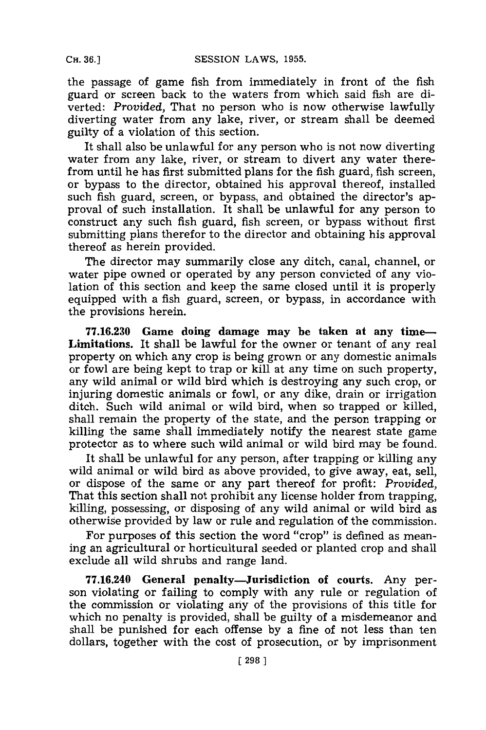the passage of game fish from immediately in front of the fish guard or screen back to the waters from which said fish are diverted: *Provided,* That no person who is now otherwise lawfully diverting water from any lake, river, or stream shall be deemed guilty of a violation of this section.

It shall also be unlawful **for** any person who is not now diverting water from any lake, river, or stream to divert any water therefrom until he has first submitted plans for the fish guard, fish screen, or bypass to the director, obtained his approval thereof, installed such fish guard, screen, or bypass, and obtained the director's approval of such installation. It shall be unlawful for any person to construct any such fish guard, fish screen, or bypass without first submitting plans therefor to the director and obtaining his approval thereof as herein provided.

The director may summarily close any ditch, canal, channel, or water pipe owned or operated **by** any person convicted of any violation of this section and keep the same closed until it is properly equipped with a fish guard, screen, or bypass, in accordance with the provisions herein.

**77.16.230 Game doing damage may be taken at any time-Limitations. It** shall be lawful for the owner or tenant of any real property on which any crop is being grown or any domestic animals or fowl are being kept to trap or kill at any time on such property, any wild animal or wild bird which is destroying any such crop, or injuring domestic animals or fowl, or any dike, drain or irrigation ditch. Such wild animal or wild bird, when so trapped or killed, shall remain the property of the state, and the person trapping or killing the same shall immediately notify the nearest state game protector as to where such wild animal or wild bird may be found.

It shall be unlawful for any person, after trapping or killing any wild animal or wild bird as above provided, to give away, eat, sell, or dispose of the same or any part thereof for profit: *Provided,* That this section shall not prohibit any license holder from trapping, killing, possessing, or disposing of any wild animal or wild bird as otherwise provided **by** law or rule and regulation of the commission.

For purposes of this section the word "crop" is defined as meaning an agricultural or horticultural seeded or planted crop and shall exclude all wild shrubs and range land.

**77.16.240 General penalty-Jurisdiction of courts.** Any person violating or failing to comply with any rule or regulation of the commission or violating any of the provisions of this title for which no penalty is provided, shall be guilty of a misdemeanor and shall be punished for each offense **by** a fine of not less than ten dollars, together with the cost of prosecution, or **by** imprisonment

**CH. 36.]**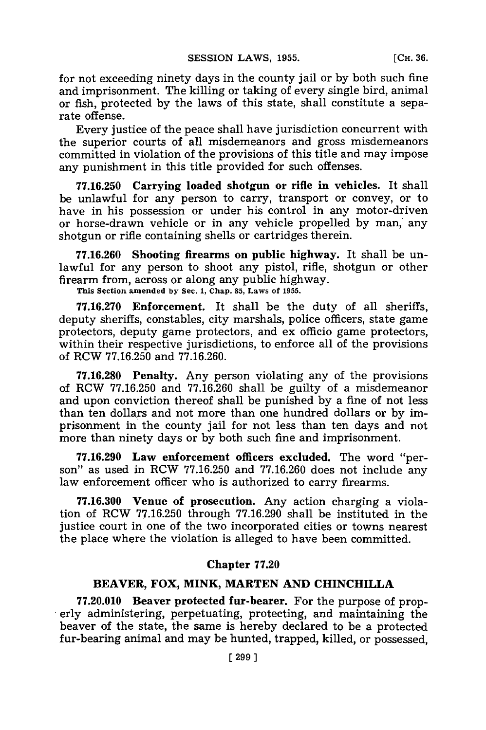for not exceeding ninety days in the county jail or **by** both such fine and imprisonment. The killing or taking of every single bird, animal or fish, protected **by** the laws of this state, shall constitute a separate offense.

Every justice of the peace shall have jurisdiction concurrent with the superior courts of all misdemeanors and gross misdemeanors committed in violation of the provisions of this title and may impose any punishment in this title provided for such offenses.

**77.16.250** Carrying loaded shotgun or rifle **in** vehicles. It shall be unlawful for any person to carry, transport or convey, or to have in his possession or under his control in any motor-driven or horse-drawn vehicle or in any vehicle propelled **by** man,' any shotgun or rifle containing shells or cartridges therein.

**77.16.260** Shooting firearms **on public highway.** It shall be unlawful for any person to shoot any pistol, rifle, shotgun or other firearm from, across or along any public highway.

**This Section amended by Sec. 1, Chap. 85, Laws of 1955.**

**77.16.270 Enforcement. It** shall be the duty of all sheriffs, deputy sheriffs, constables, city marshals, police officers, state game protectors, deputy game protectors, and ex officio game protectors, within their respective jurisdictions, to enforce all of the provisions of RCW **77.16.250** and **77.16.260.**

**77.16.280 Penalty.** Any person violating any of the provisions of RCW **77.16.250** and **77.16.260** shall be guilty of a misdemeanor and upon conviction thereof shall be punished **by** a fine of not less than ten dollars and not more than one hundred dollars or **by** imprisonment in the county jail for not less than ten days and not more than ninety days or **by** both such fine and imprisonment.

**77.16.290 Law enforcement officers excluded.** The word "person" as used in RCW **77.16.250** and **77.16.260** does not include any law enforcement officer who is authorized to carry firearms.

**77.16.300 Venue of prosecution.** Any action charging a violation of RCW **77.16.250** through **77.16.290** shall be instituted in the justice court in one of the two incorporated cities or towns nearest the place where the violation is alleged to have been committed.

### **Chapter 77.20**

# **BEAVER, FOX, MINK, MARTEN AND CHINCHILLA**

**77.20.010 Beaver protected fur-bearer.** For the purpose of properly administering, perpetuating, protecting, and maintaining the beaver of the state, the same is hereby declared to be a protected fur-bearing animal and may be hunted, trapped, killed, or possessed,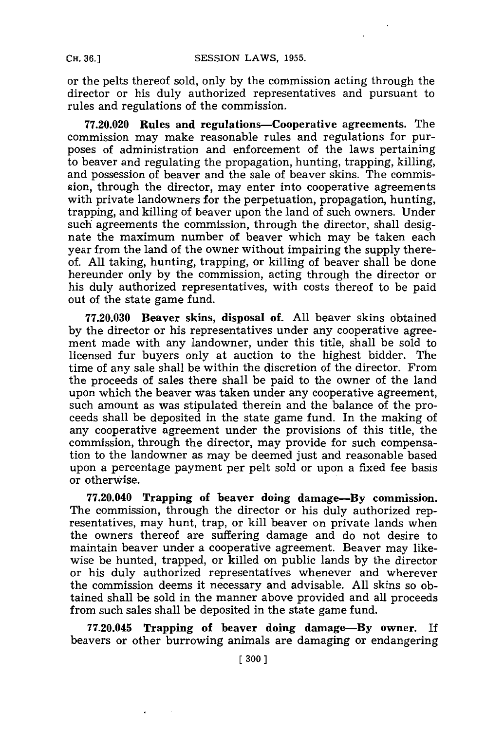or the pelts thereof sold, only **by** the commission acting through the director or his duly authorized representatives and pursuant to rules and regulations of the commission.

**77.20.020 Rules and regulations-Cooperative agreements. The** commission may make reasonable rules and regulations for purposes of administration and enforcement of the laws pertaining to beaver and regulating the propagation, hunting, trapping, killing, and possession of beaver and the sale of beaver skins. The commission, through the director, may enter into cooperative agreements with private landowners for the perpetuation, propagation, hunting, trapping, and killing of beaver upon the land of such owners. Under such agreements the commission, through the director, shall designate the maximum number of beaver which may be taken each year from the land of the owner without impairing the supply thereof. **All** taking, hunting, trapping, or killing of beaver shall be done hereunder only **by** the commission, acting through the director or his duly authorized representatives, with costs thereof to be paid out of the state game fund.

**77.20.030** Beaver skins, disposal of. **All** beaver skins obtained **by** the director or his representatives under any cooperative agreement made with any landowner, under this title, shall be sold to licensed fur buyers only at auction to the highest bidder. The time of any sale shall be within the discretion of the director. From the proceeds of sales there shall be paid to the owner of the land upon which the beaver was taken under any cooperative agreement, such amount as was stipulated therein and the balance of the proceeds shall be deposited in the state game fund. In the making of any cooperative agreement under the provisions of this title, the commission, through the director, may provide for such compensation to the landowner as may be deemed just and reasonable based upon a percentage payment per pelt sold or upon a fixed fee basis or otherwise.

**77.20.040 Trapping of beaver doing damage-By commission.** The commission, through the director or his duly authorized representatives, may hunt, trap, or kill beaver on private lands when the owners thereof are suffering damage and do not desire to maintain beaver under a cooperative agreement. Beaver may likewise be hunted, trapped, or killed on public lands **by** the director or his duly authorized representatives whenever and wherever the commission deems it necessary and advisable. **All** skins so obtained shall be sold in the manner above provided and all proceeds from such sales shall be deposited in the state game fund.

**77.20.045 Trapping of beaver doing damage-By owner. If** beavers or other burrowing animals are damaging or endangering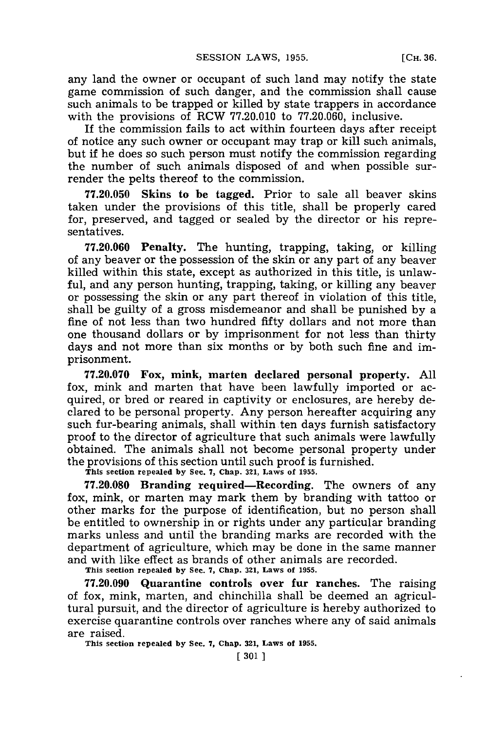any land the owner or occupant of such land may notify the state game commission of such danger, and the commission shall cause such animals to be trapped or killed **by** state trappers in accordance with the provisions of RCW **77.20.010** to **77.20.060,** inclusive.

If the commission fails to act within fourteen days after receipt of notice any such owner or occupant may trap or kill such animals, but if he does so such person must notify the commission regarding the number of such animals disposed of and when possible surrender the pelts thereof to the commission.

**77.20.050** Skins **to be tagged.** Prior to sale all beaver skins taken under the provisions of this title, shall be properly cared for, preserved, and tagged or sealed **by** the director or his representatives.

**77.20.060 Penalty.** The hunting, trapping, taking, or killing of any beaver or the possession of the skin or any part of any beaver killed within this state, except as authorized in this title, is unlawful, and any person hunting, trapping, taking, or killing any beaver or possessing the skin or any part thereof in violation of this title, shall be guilty of a gross misdemeanor and shall be punished **by** a fine of not less than two hundred fifty dollars and not more than one thousand dollars or **by** imprisonment for not less than thirty days and not more than six months or **by** both such fine and imprisonment.

**77.20.070 Fox, mink, marten declared personal property. All** fox, mink and marten that have been lawfully imported or acquired, or bred or reared in captivity or enclosures, are hereby declared to be personal property. Any person hereafter acquiring any such fur-bearing animals, shall within ten days furnish satisfactory proof to the director of agriculture that such animals were lawfully obtained. The animals shall not become personal property under the provisions of this section until such proof is furnished.

**This section repealed by See. 7, Chap. 321, Laws of 1955.**

**77.20.080** Branding required-Recording. The owners of any fox, mink, or marten may mark them **by** branding with tattoo or other marks for the purpose of identification, but no person shall be entitled to ownership in or rights under any particular branding marks unless and until the branding marks are recorded with the department of agriculture, which may be done in the same manner and with like effect as brands of other animals are recorded.

**This section repealed by See. 7, Chap. 321, Laws of 1955.**

**77.20.090 Quarantine controls over fur ranches.** The raising of fox, mink, marten, and chinchilla shall be deemed an agricultural pursuit, and the director of agriculture is hereby authorized to exercise quarantine controls over ranches where any of said animals are raised.

**This section repealed by Sec. 7, Chap. 321, Laws of 1955.**

**[ 301 1**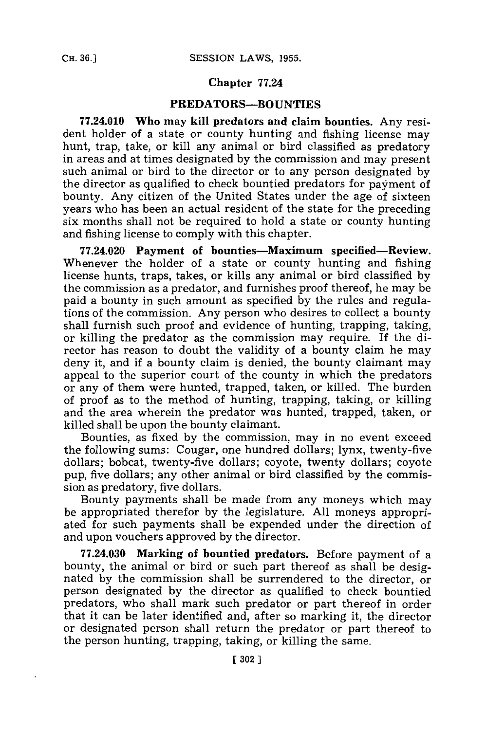### **Chapter 77.24**

### **PREDATORS-BOUNTIES**

**77.24.010 Who may kill predators and claim bounties. Any resi**dent holder of a state or county hunting and fishing license may hunt, trap, take, or kill any animal or bird classified as predatory in areas and at times designated **by** the commission and may present such animal or bird to the director or to any person designated **by** the director as qualified to check bountied predators for payment of bounty. Any citizen of the United States under the age of sixteen years who has been an actual resident of the state for the preceding six months shall not be required to hold a state or county hunting and fishing license to comply with this chapter.

**77.24.020 Payment of bounties-Maximum specified-Review.** Whenever the holder of a state or county hunting and fishing license hunts, traps, takes, or kills any animal or bird classified **by** the commission as a predator, and furnishes proof thereof, he may be paid a bounty in such amount as specified **by** the rules and regulations of the commission. Any person who desires to collect a bounty shall furnish such proof and evidence of hunting, trapping, taking, or killing the predator as the commission may require. If the director has reason to doubt the validity of a bounty claim he may deny it, and if a bounty claim is denied, the bounty claimant may appeal to the superior court of the county in which the predators or any of them were hunted, trapped, taken, or killed. The burden of proof as to the method of hunting, trapping, taking, or killing and the area wherein the predator was hunted, trapped, taken, or killed shall be upon the bounty claimant.

Bounties, as fixed **by** the commission, may in no event exceed the following sums: Cougar, one hundred dollars; lynx, twenty-five dollars; bobcat, twenty-five dollars; coyote, twenty dollars; coyote pup, five dollars; any other animal or bird classified **by** the commission as predatory, five dollars.

Bounty payments shall be made from any moneys which may be appropriated therefor **by** the legislature. **All** moneys appropriated for such payments shall be expended under the direction of and upon vouchers approved **by** the director.

**77.24.030 Marking of bountied predators. Before** payment of a bounty, the animal or bird or such part thereof as shall be designated **by** the commission shall be surrendered to the director, or person designated **by** the director as qualified to check bountied predators, who shall mark such predator or part thereof in order that it can be later identified and, after so marking it, the director or designated person shall return the predator or part thereof to the person hunting, trapping, taking, or killing the same.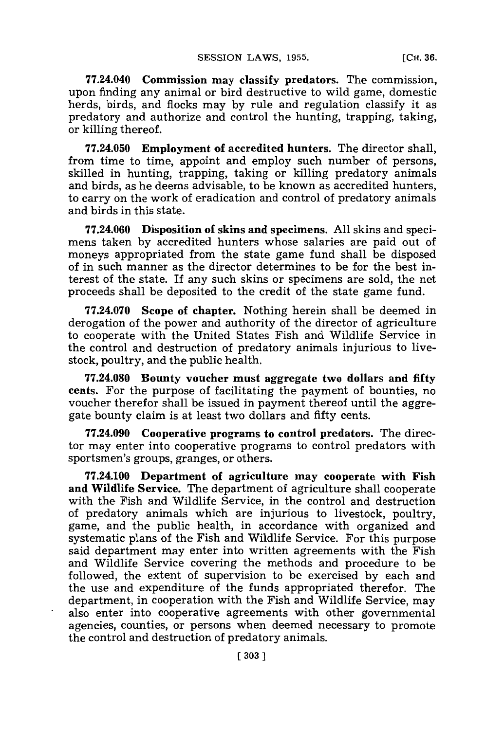**77.24.040 Commission may classify predators. The commission,** upon finding any animal or bird destructive to wild game, domestic herds, birds, and flocks may **by** rule and regulation classify it as predatory and authorize and control the hunting, trapping, taking, or killing thereof.

**77.24.050 Employment of accredited hunters. The** director shall, from time to time, appoint and employ such number of persons, skilled in hunting, trapping, taking or killing predatory animals and birds, as he deems advisable, to be known as accredited hunters, to carry on the work of eradication and control of predatory animals and birds in this state.

**77.24.060 Disposition of skins and** specimens. **All** skins and specimens taken **by** accredited hunters whose salaries are paid out of moneys appropriated from the state game fund shall be disposed of in such manner as the director determines to be for the best interest of the state. If any such skins or specimens are sold, the net proceeds shall be deposited to the credit of the state game fund.

**77.24.070** Scope **of** chapter. Nothing herein shall be deemed in derogation of the power and authority of the director of agriculture to cooperate with the United States Fish and Wildlife Service in the control and destruction of predatory animals injurious to livestock, poultry, and the public health.

**77.24.080 Bounty voucher must aggregate two dollars and** fifty cents. For the purpose of facilitating the payment of bounties, no voucher therefor shall be issued in payment thereof until the aggregate bounty claim is at least two dollars and fifty cents.

**77.24.090** Cooperative programs to control predators. The director may enter into cooperative programs to control predators with sportsmen's groups, granges, or others.

**77.24.100** Department of **agriculture** may cooperate **with Fish and Wildlife Service.** The department of agriculture shall cooperate with the Fish and Wildlife Service, in the control and destruction of predatory animals which are injurious to livestock, poultry, game, and the public health, in accordance with organized and systematic plans of the Fish and Wildlife Service. For this purpose said department may enter into written agreements with the Fish and Wildlife Service covering the methods and procedure to be followed, the extent of supervision to be exercised **by** each and the use and expenditure of the funds appropriated therefor. The department, in cooperation with the Fish and Wildlife Service, may also enter into cooperative agreements with other governmental agencies, counties, or persons when deemed necessary to promote the control and destruction of predatory animals.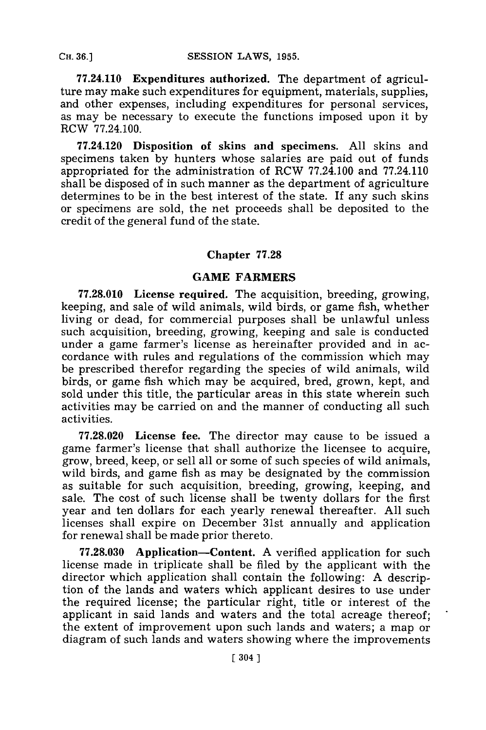**77.24.110 Expenditures authorized. The** department of agriculture may make such expenditures for equipment, materials, supplies, and other expenses, including expenditures for personal services, as may be necessary to execute the functions imposed upon it **by** RCW **77.24.100.**

**77.24.120** Disposition of skins **and** specimens. **All** skins and specimens taken **by** hunters whose salaries are paid out of funds appropriated for the administration of RCW **77.24.100** and **77.24.110** shall be disposed of in such manner as the department of agriculture determines to be in the best interest of the state. If any such skins or specimens are sold, the net proceeds shall be deposited to the credit of the general fund of the state.

# Chapter **77.28**

# **GAME FARMERS**

**77.28.010 License required. The** acquisition, breeding, growing, keeping, and sale of wild animals, wild birds, or game fish, whether living or dead, for commercial purposes shall be unlawful unless such acquisition, breeding, growing, keeping and sale is conducted under a game farmer's license as hereinafter provided and in accordance with rules and regulations of the commission which may be prescribed therefor regarding the species of wild animals, wild birds, or game fish which may be acquired, bred, grown, kept, and sold under this title, the particular areas in this state wherein such activities may be carried on and the manner of conducting all such activities.

**77.28.020** License fee. The director may cause to be issued a game farmer's license that shall authorize the licensee to acquire, grow, breed, keep, or sell all or some of such species of wild animals, wild birds, and game fish as may be designated **by** the commission as suitable for such acquisition, breeding, growing, keeping, and sale. The cost of such license shall be twenty dollars for the first year and ten dollars for each yearly renewal thereafter. **All** such licenses shall expire on December 31st annually and application for renewal shall be made prior thereto.

**77.28.030** Application-Content. **A** verified application for such license made in triplicate shall be filed **by** the applicant with the director which application shall contain the following: **A** description of the lands and waters which applicant desires to use under the required license; the particular right, title or interest of the applicant in said lands and waters and the total acreage thereof; the extent of improvement upon such lands and waters; a map or diagram of such lands and waters showing where the improvements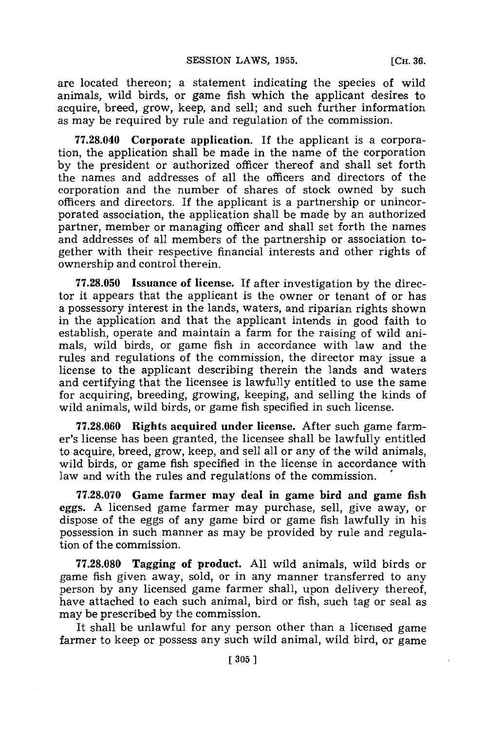are located thereon; a statement indicating the species of wild animals, wild birds, or game fish which the applicant desires to acquire, breed, grow, keep, and sell; and such further information as may be required **by** rule and regulation of the commission.

**77.28.040 Corporate application.** If the applicant is a corporation, the application shall be made in the name of the corporation **by** the president or authorized officer thereof and shall set forth the names and addresses of all the officers and directors of the corporation and the number of shares of stock owned **by** such officers and directors. If the applicant is a partnership or unincorporated association, the application shall be made **by** an authorized partner, member or managing officer and shall set forth the names and addresses of all members of the partnership or association together with their respective financial interests and other rights of ownership and control therein.

**77.28.050** Issuance of license. If after investigation **by** the director it appears that the applicant is the owner or tenant of or has a possessory interest in the lands, waters, and riparian rights shown in the application and that the applicant intends in good faith to establish, operate and maintain a farm for the raising of wild animals, wild birds, or game fish in accordance with law and the rules and regulations of the commission, the director may issue a license to the applicant describing therein the lands and waters and certifying that the licensee is lawfully entitled to use the same for acquiring, breeding, growing, keeping, and selling the kinds of wild animals, wild birds, or game fish specified in such license.

**77.28.060** Rights **acquired under license.** After such game farmer's license has been granted, the licensee shall be lawfully entitled to acquire, breed, grow, keep, and sell all or any of the wild animals, wild birds, or game fish specified in the license in accordance with law and with the rules and regulations of the commission.

**77.28.070 Game farmer may deal in game bird and game fish** eggs. **A** licensed game farmer may purchase, sell, give away, or dispose of the eggs of any game bird or game fish lawfully in his possession in such manner as may be provided **by** rule and regulation of the commission.

**77.28.080 Tagging of product. All** wild animals, wild birds or game fish given away, sold, or in any manner transferred to any person **by** any licensed game farmer shall, upon delivery thereof, have attached to each such animal, bird or fish, such tag or seal as may be prescribed **by** the commission.

It shall be unlawful for any person other than a licensed game farmer to keep or possess any such wild animal, wild bird, or game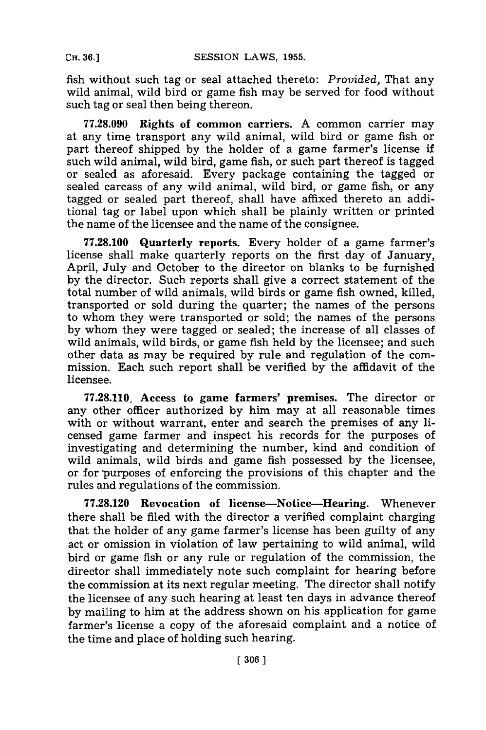fish without such tag or seal attached thereto: *Provided,* That any wild animal, wild bird or game fish may be served for food without such tag or seal then being thereon.

**77.28.090 Rights of common carriers. A** common carrier may at any time transport any wild animal, wild bird or game fish or part thereof shipped **by** the holder of a game farmer's license if such wild animal, wild bird, game fish, or such part thereof is tagged or sealed as aforesaid. Every package containing the tagged or sealed carcass of any wild animal, wild bird, or game fish, or any tagged or sealed part thereof, shall have affixed thereto an additional tag or label upon which shall be plainly written or printed the name of the licensee and the name of the consignee.

**77.28.100** Quarterly reports. Every holder of a game farmer's license shall make quarterly reports on the first day of January, April, July and October to the director on blanks to be furnished **by** the director. Such reports shall give a correct statement of the total number of wild animals, wild birds or game fish owned, killed, transported or sold during the quarter; the names of the persons to whom they were transported or sold; the names of the persons **by** whom they were tagged or sealed; the increase of all classes of wild animals, wild birds, or game fish held **by** the licensee; and such other data as may be required **by** rule and regulation of the commission. Each such report shall be verified **by** the affidavit of the licensee.

**77.28.110, Access to game farmers' premises. The director or** any other officer authorized **by** him may at all reasonable times with or without warrant, enter and search the premises of any licensed game farmer and inspect his records for the purposes of investigating and determining the number, kind and condition of wild animals, wild birds and game fish possessed **by** the licensee, or for purposes of enforcing the provisions of this chapter and the rules and regulations of the commission.

**77.28.120** Revocation of license-Notice-Hearing. Whenever there shall be filed with the director a verified complaint charging that the holder of any game farmer's license has been guilty of any act or omission in violation of law pertaining to wild animal, wild bird or game fish or any rule or regulation of the commission, the director shall immediately note such complaint for hearing before the commission at its next regular meeting. The director shall notify the licensee of any such hearing at least ten days in advance thereof **by** mailing to him at the address shown on his application for game farmer's license a copy of the aforesaid complaint and a notice of the time and place of holding such hearing.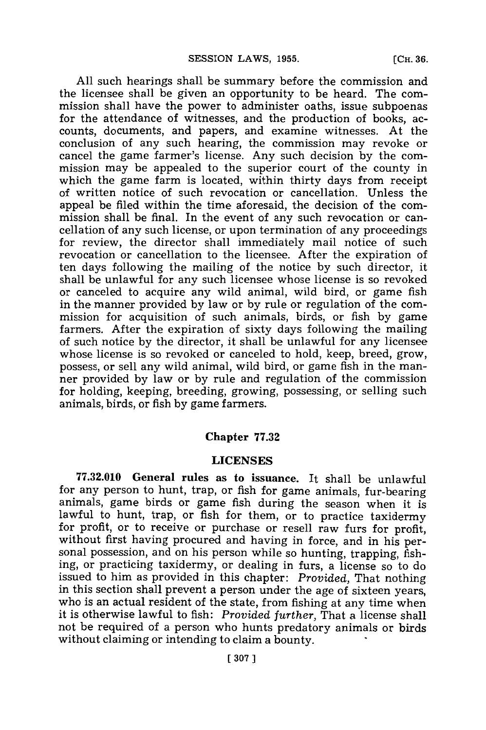**All** such hearings shall be summary before the commission and the licensee shall be given an opportunity to be heard. The commission shall have the power to administer oaths, issue subpoenas for the attendance of witnesses, and the production of books, accounts, documents, and papers, and examine witnesses. At the conclusion of any such hearing, the commission may revoke or cancel the game farmer's license. Any such decision **by** the commission may be appealed to the superior court of the county in which the game farm is located, within thirty days from receipt of written notice of such revocation or cancellation. Unless the appeal be filed within the time aforesaid, the decision of the commission shall be final. In the event of any such revocation or cancellation of any such license, or upon termination of any proceedings for review, the director shall immediately mail notice of such revocation or cancellation to the licensee. After the expiration of ten days following the mailing of the notice **by** such director, it shall be unlawful for any such licensee whose license is so revoked or canceled to acquire any wild animal, wild bird, or game fish in the manner provided **by** law or **by** rule or regulation of the commission for acquisition of such animals, birds, or fish **by** game farmers. After the expiration of sixty days following the mailing of such notice **by** the director, it shall be unlawful for any licensee whose license is so revoked or canceled to hold, keep, breed, grow, possess, or sell any wild animal, wild bird, or game fish in the manner provided **by** law or **by** rule and regulation of the commission for holding, keeping, breeding, growing, possessing, or selling such animals, birds, or fish **by** game farmers.

## **Chapter 77.32**

#### **LICENSES**

**77.32.010 General rules as to issuance. It** shall be unlawful for any person to hunt, trap, or fish for game animals, fur-bearing animals, game birds or game fish during the season when it is lawful to hunt, trap, or fish for them, or to practice taxidermy for profit, or to receive or purchase or resell raw furs for profit, without first having procured and having in force, and in his personal possession, and on his person while so hunting, trapping, fishing, or practicing taxidermy, or dealing in furs, a license so to do issued to him as provided in this chapter: *Provided,* That nothing in this section shall prevent a person under the age of sixteen years, who is an actual resident of the state, from fishing at any time when it is otherwise lawful to fish: *Provided further,* That a license shall not be required of a person who hunts predatory animals or birds without claiming or intending to claim a bounty.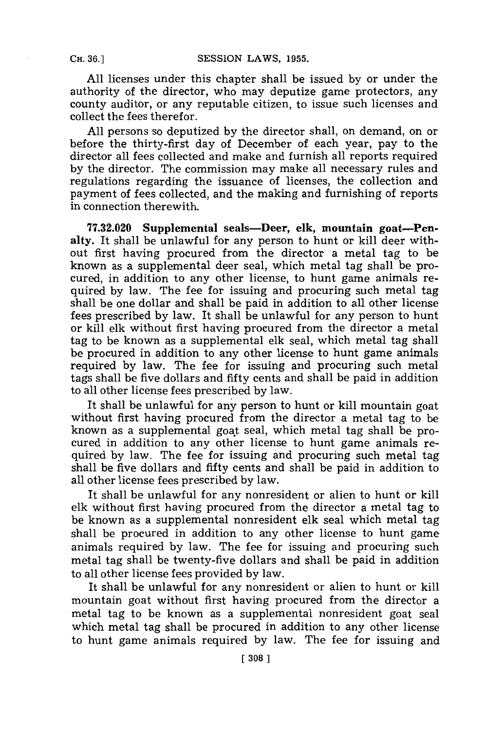**All** licenses under this chapter shall be issued **by** or under the authority of the director, who may deputize game protectors, any county auditor, or any reputable citizen, to issue such licenses and collect the fees therefor.

**All** persons so deputized **by** the director shall, on demand, on or before the thirty-first day of December of each year, pay to the director all fees collected and make and furnish all reports required **by** the director. The commission may make all necessary rules and regulations regarding the issuance of licenses, the collection and payment of fees collected, and the making and furnishing of reports in connection therewith.

**77.32.020** Supplemental seals-Deer, elk, mountain goat-Penalty. It shall be unlawful for any person to hunt or kill deer without first having procured from the director a metal tag to be known as a supplemental deer seal, which metal tag shall be procured, in addition to any other license, to hunt game animals required **by** law. The fee for issuing and procuring such metal tag shall be one dollar and shall be paid in addition to all other license fees prescribed **by** law. It shall be unlawful for any person to hunt or kill elk without first having procured from the director a metal tag to be known as a supplemental elk seal, which metal tag shall be procured in addition to any other license to hunt game animals required **by** law. The fee for issuing and procuring such metal tags shall be five dollars and fifty cents and shall be paid in addition to all other license fees prescribed **by** law.

It shall be unlawful for any person to hunt or kill mountain goat without first having procured from the director a metal tag to be known as a supplemental goat seal, which metal tag shall be procured in addition to any other license to hunt game animals required **by** law. The fee for issuing and procuring such metal tag shall be five dollars and fifty cents and shall be paid in addition to all other license fees prescribed **by** law.

It shall be unlawful for any nonresident or alien to hunt or kill elk without first having procured from the director a metal tag to be known as a supplemental nonresident elk seal which metal tag shall be procured in addition to any other license to hunt game animals required **by** law. The fee for issuing and procuring such metal tag shall be twenty-five dollars and shall be paid in addition to all other license fees provided **by** law.

It shall be unlawful for any nonresident or alien to hunt or kill mountain goat without first having procured from the director a metal tag to be known as a supplemental nonresident goat seal which metal tag shall be procured in addition to any other license to hunt game animals required **by** law. The fee for issuing and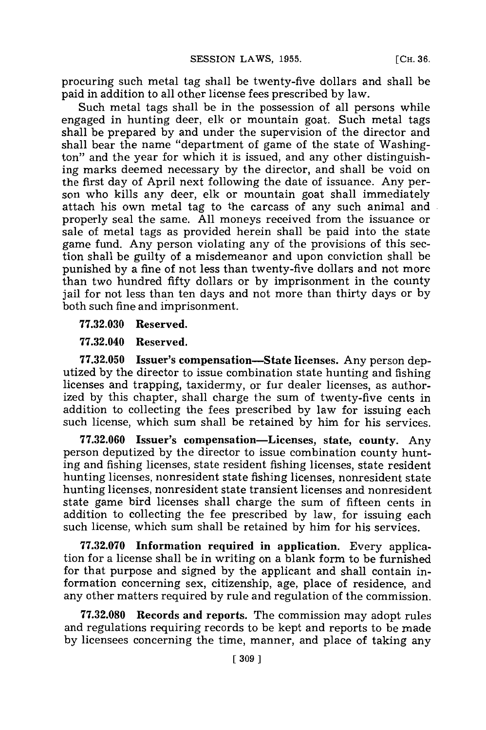procuring such metal tag shall be twenty-five dollars and shall be paid in addition to all other license fees prescribed **by** law.

Such metal tags shall be in the possession of all persons while engaged in hunting deer, elk or mountain goat. Such metal tags shall be prepared **by** and under the supervision of the director and shall bear the name "department of game of the state of Washington" and the year for which it is issued, and any other distinguishing marks deemed necessary **by** the director, and shall be void on the first day of April next following the date of issuance. Any person who kills any deer, elk or mountain goat shall immediately attach his own metal tag to the carcass of any such animal and properly seal the same. **All** moneys received from the issuance or sale of metal tags as provided herein shall be paid into the state game fund. Any person violating any of the provisions of this section shall be guilty of a misdemeanor and upon conviction shall be punished **by** a fine of not less than twenty-five dollars and not more than two hundred fifty dollars or **by** imprisonment in the county jail for not less than ten days and not more than thirty days or **by** both such fine and imprisonment.

**77.32.030** Reserved.

**77.32.040** Reserved.

**77.32.050** Issuer's compensation-State licenses. Any person deputized **by** the director to issue combination state hunting and fishing licenses and trapping, taxidermy, or fur dealer licenses, as authorized **by** this chapter, shall charge the sum of twenty-five cents in addition to collecting the fees prescribed **by** law for issuing each such license, which sum shall be retained **by** him for his services.

**77.32.060** Issuer's compensation-Licenses, state, county. Any person deputized **by** the director to issue combination county hunting and fishing licenses, state resident fishing licenses, state resident hunting licenses, nonresident state fishing licenses, nonresident state hunting licenses, nonresident state transient licenses and nonresident state game bird licenses shall charge the sum of fifteen cents in addition to collecting the fee prescribed **by** law, for issuing each such license, which sum shall be retained **by** him for his services.

**77.32.070 Information required in application.** Every application for a license shall be in writing on a blank form to be furnished for that purpose and signed **by** the applicant and shall contain information concerning sex, citizenship, age, place of residence, and any other matters required **by** rule and regulation of the commission.

**77.32.080** Records and reports. The commission may adopt rules and regulations requiring records to be kept and reports to be made **by** licensees concerning the time, manner, and place of taking any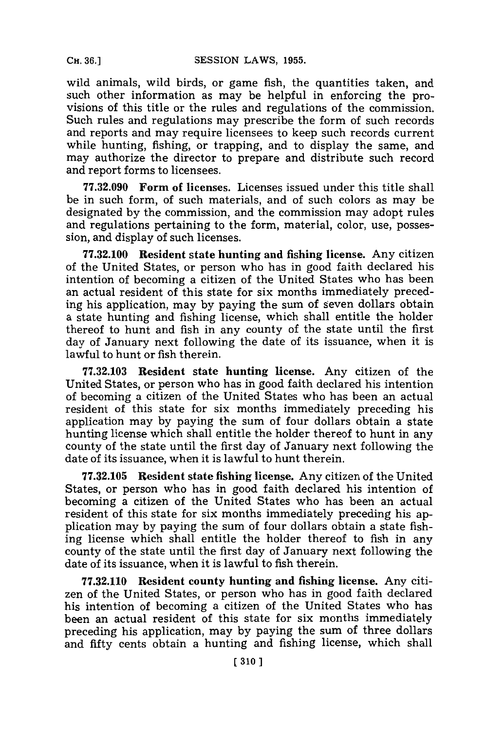wild animals, wild birds, or game fish, the quantities taken, and such other information as may be helpful in enforcing the provisions of this title or the rules and regulations of the commission. Such rules and regulations may prescribe the form of such records and reports and may require licensees to keep such records current while hunting, fishing, or trapping, and to display the same, and may authorize the director to prepare and distribute such record and report forms to licensees.

**77.32.090 Form of licenses.** Licenses issued under this title shall be in such form, of such materials, and of such colors as may be designated **by** the commission, and the commission may adopt rules and regulations pertaining to the form, material, color, use, possession, and display of such licenses.

**77.32.100 Resident state hunting and fishing** license. Any citizen of the United States, or person who has in good faith declared his intention of becoming a citizen of the United States who has been an actual resident of this state for six months immediately preceding his application, may **by** paying the sum of seven dollars obtain a state hunting and fishing license, which shall entitle the holder thereof to hunt and fish in any county of the state until the first day of January next following the date of its issuance, when it is lawful to hunt or fish therein.

**77.32.103** Resident state hunting license. Any citizen of the United States, or person who has in good faith declared his intention of becoming a citizen of the United States who has been an actual resident of this state for six months immediately preceding his application may **by** paying the sum of four dollars obtain a state hunting license which shall entitle the holder thereof to hunt in any county of the state until the first day of January next following the date of its issuance, when it is lawful to hunt therein.

**77.32.105** Resident state fishing license. Any citizen of the United States, or person who has in good faith declared his intention of becoming a citizen of the United States who has been an actual resident of this state for six months immediately preceding his application may **by** paying the sum of four dollars obtain a state fishing license which shall entitle the holder thereof to fish in any county of the state until the first day of January next following the date of its issuance, when it is lawful to fish therein.

**77.32.110** Resident county hunting and fishing license. Any citizen of the United States, or person who has in good faith declared his intention of becoming a citizen of the United States who has been an actual resident of this state for six months immediately preceding his application, may **by** paying the sum of three dollars and fifty cents obtain a hunting and fishing license, which shall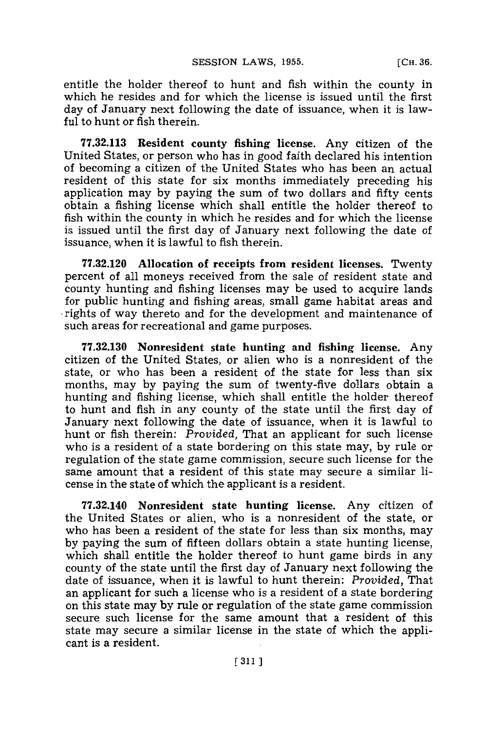entitle the holder thereof to hunt and fish within the county in which he resides and for which the license is issued until the first day of January next following the date of issuance, when it is lawful to hunt or fish therein.

**77.32.113** Resident county fishing license. Any citizen of the United States, or person who has in good faith declared his intention of becoming a citizen of the United States who has been an actual resident of this state for six months immediately preceding his application may **by** paying the sum of two dollars and fifty cents obtain a fishing license which shall entitle the holder thereof to fish within the county in which he resides and for which the license is issued until the first day of January next following the date of issuance, when it is lawful to fish therein.

**77.32.120** Allocation of receipts from resident licenses. Twenty percent of all moneys received from the sale of resident state and county hunting and fishing licenses may be used to acquire lands for public hunting and fishing areas, small game habitat areas and **-**rights of way thereto and for the development and maintenance of such areas for recreational and game purposes.

**77.32.130** Nonresident state hunting and fishing license. Any citizen of the United States, or alien who is a nonresident of the state, or who has been a resident of the state for less than six months, may **by** paying the sum of twenty-five dollars obtain a hunting and fishing license, which shall entitle the holder thereof to hunt and fish in any county of the state until the first day of January next following the date of issuance, when it is lawful to hunt or fish therein: *Provided,* That an applicant for such license who is a resident of a state bordering on this state may, **by** rule or regulation of the state game commission, secure such license for the same amount that a resident of this state may secure a similar license in the state of which the applicant is a resident.

**77.32.140** Nonresident state hunting license. Any citizen of the United States or alien, who is a nonresident of the state, or who has been a resident of the state **for** less than six months, may **by** paying the sum of fifteen dollars obtain a state hunting license, which shall entitle the holder thereof to hunt game birds in any county of the state until the first day of January next following the date of issuance, when it is lawful to hunt therein: *Provided,* That an applicant for such a license who is a resident of a state bordering on this state may **by** rule or regulation of the state game commission secure such license for the same amount that a resident of this state may secure a similar license in the state of which the applicant is a resident.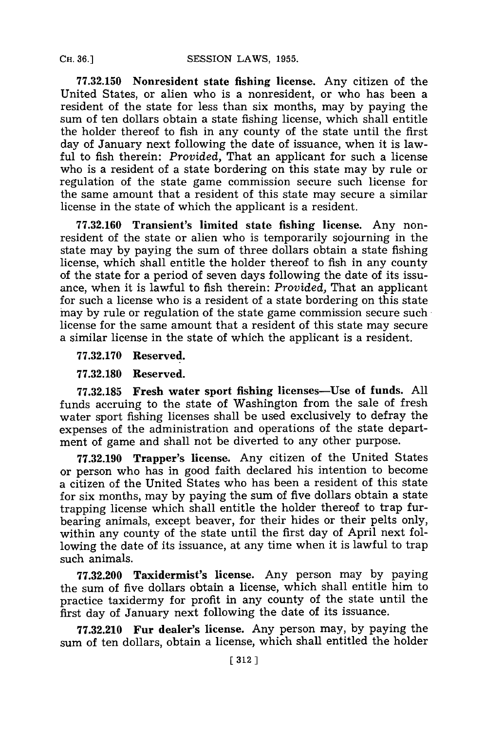**77.32.150 Nonresident state fishing license.** Any citizen of the United States, or alien who is a nonresident, or who has been a resident of the state for less than six months, may **by** paying the sum of ten dollars obtain a state fishing license, which shall entitle the holder thereof to fish in any county of the state until the first day of January next following the date of issuance, when it is lawful to fish therein: *Provided,* That an applicant for such a license who is a resident of a state bordering on this state may **by** rule or regulation of the state game commission secure such license for the same amount that a resident of this state may secure a similar license in the state of which the applicant is a resident.

**77.32.160 Transient's limited state fishing license.** Any nonresident of the state or alien who is temporarily sojourning in the state may **by** paying the sum of three dollars obtain a state fishing license, which shall entitle the holder thereof to fish in any county of the state for a period of seven days following the date of its issuance, when it is lawful to fish therein: *Provided,* That an applicant for such a license who is a resident of a state bordering on this state may **by** rule or regulation of the state game commission secure such license for the same amount that a resident of this state may secure a similar license in the state of which the applicant is a resident.

**77.32.170** Reserved.

**77.32.180 Reserved.**

**77.32.185 Fresh water sport fishing licenses-Use of funds. All** funds accruing to the state of Washington from the sale of fresh water sport fishing licenses shall be used exclusively to defray the expenses of the administration and operations of the state department of game and shall not be diverted to any other purpose.

**77.32.190** Trapper's license. Any citizen of the United States or person who has in good faith declared his intention to become a citizen of the United States who has been a resident of this state for six months, may **by** paying the sum of five dollars obtain a state trapping license which shall entitle the holder thereof to trap furbearing animals, except beaver, for their hides or their pelts only, within any county of the state until the first day of April next following the date of its issuance, at any time when it is lawful to trap such animals.

**77.32.200** Taxidermist's license. Any person may **by** paying the sum of five dollars obtain a license, which shall entitle him to practice taxidermy for profit in any county of the state until the first day of January next following the date of its issuance.

**77.32.210 Fur dealer's license.** Any person may, **by** paying the sum of ten dollars, obtain a license, which shall entitled the holder

**CH. 36.]**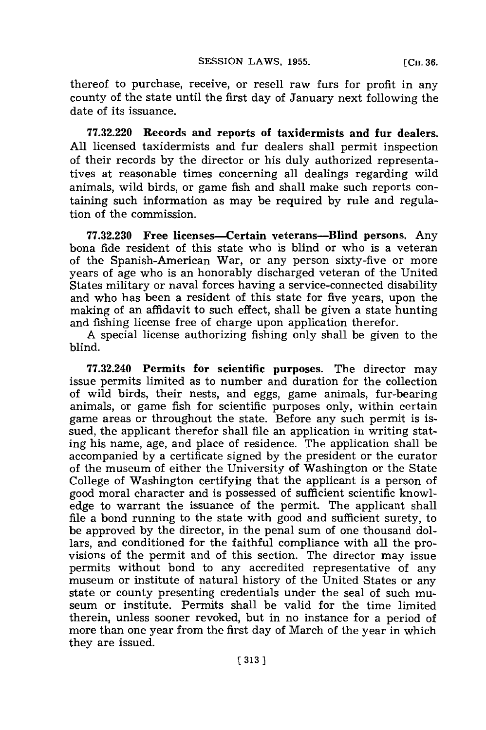thereof to purchase, receive, or resell raw furs for profit in any county of the state until the first day of January next following the date of its issuance.

**77.32.220 Records and reports of taxidermists and fur dealers. All** licensed taxidermists and fur dealers shall permit inspection of their records **by** the director or his duly authorized representatives at reasonable times concerning all dealings regarding wild animals, wild birds, or game fish and shall make such reports containing such information as may be required **by** rule and regulation of the commission.

**77.32.230 Free licenses-Certain veterans-Blind persons.** Any bona fide resident of this state who is blind or who is a veteran of the Spanish-American War, or any person sixty-five or more years of age who is an honorably discharged veteran of the United States military or naval forces having a service-connected disability and who has been a resident of this state for five years, upon the making of an affidavit to such effect, shall be given a state hunting and fishing license free of charge upon application therefor.

**A** special license authorizing fishing only shall be given to the blind.

**77.32.240** Permits for scientific purposes. The director may issue permits limited as to number and duration for the collection of wild birds, their nests, and eggs, game animals, fur-bearing animals, or game fish for scientific purposes only, within certain game areas or throughout the state. Before any such permit is issued, the applicant therefor shall file an application in writing stating his name, age, and place of residence. The application shall be accompanied **by** a certificate signed **by** the president or the curator of the museum of either the University of Washington or the State College of Washington certifying that the applicant is a person of good moral character and is possessed of sufficient scientific knowledge to warrant the issuance of the permit. The applicant shall file a bond running to the state with good and sufficient surety, to be approved **by** the director, in the penal sum of one thousand dollars, and conditioned for the faithful compliance with all the provisions of the permit and of this section. The director may issue permits without bond to any accredited representative of any museum or institute of natural history of the United States or any state or county presenting credentials under the seal of such museum or institute. Permits shall be valid for the time limited therein, unless sooner revoked, but in no instance for a period of more than one year from the first day of March of the year in which they are issued.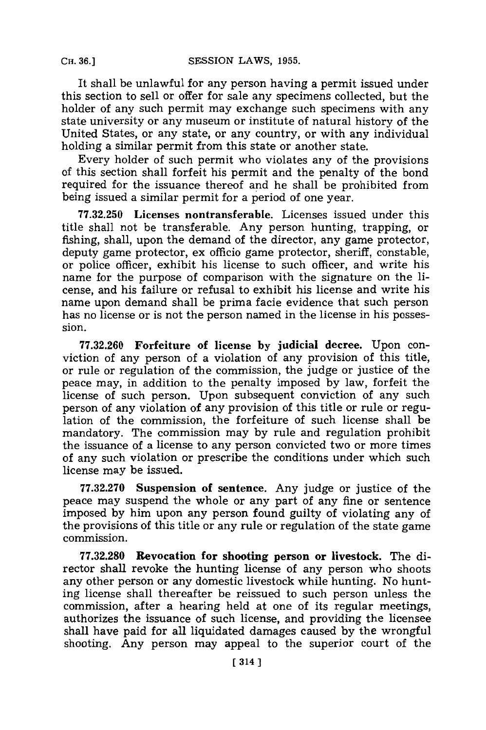It shall be unlawful for any person having a permit issued under this section to sell or offer for sale any specimens collected, but the holder of any such permit may exchange such specimens with any state university or any museum or institute of natural history of the United States, or any state, or any country, or with any individual holding a similar permit from this state or another state.

Every holder of such permit who violates any of the provisions of this section shall forfeit his permit and the penalty of the bond required for the issuance thereof and he shall be prohibited from being issued a similar permit for a period of one year.

**77.32.250** Licenses **nontransferable.** Licenses issued under this title shall not be transferable. Any person hunting, trapping, or fishing, shall, upon the demand of the director, any game protector, deputy game protector, ex officio game protector, sheriff, constable, or police officer, exhibit his license to such officer, and write his name for the purpose of comparison with the signature on the license, and his failure or refusal to exhibit his license and write his name upon demand shall be prima facie evidence that such person has no license or is not the person named in the license in his possession.

**77.32.260** Forfeiture of license **by** judicial decree. Upon conviction of any person of a violation of any provision of this title, or rule or regulation of the commission, the judge or justice of the peace may, in addition to the penalty imposed **by** law, forfeit the license of such person. Upon subsequent conviction of any such person of any violation of any provision of this title or rule or regulation of the commission, the forfeiture of such license shall be mandatory. The commission may **by** rule and regulation prohibit the issuance of a license to any person convicted two or more times of any such violation or prescribe the conditions under which such license may be issued.

**77.32.270** Suspension **of sentence.** Any judge or justice of the peace may suspend the whole or any part of any fine or sentence imposed **by** him upon any person found guilty of violating any of the provisions of this title or any rule or regulation of the state game commission.

**77.32.280 Revocation for shooting person or livestock. The di**rector shall revoke the hunting license of any person who shoots any other person or any domestic livestock while hunting. No hunting license shall thereafter be reissued to such person unless the commission, after a hearing held at one of its regular meetings, authorizes the issuance of such license, and providing the licensee shall have paid for all liquidated damages caused **by** the wrongful shooting. Any person may appeal to the superior court of the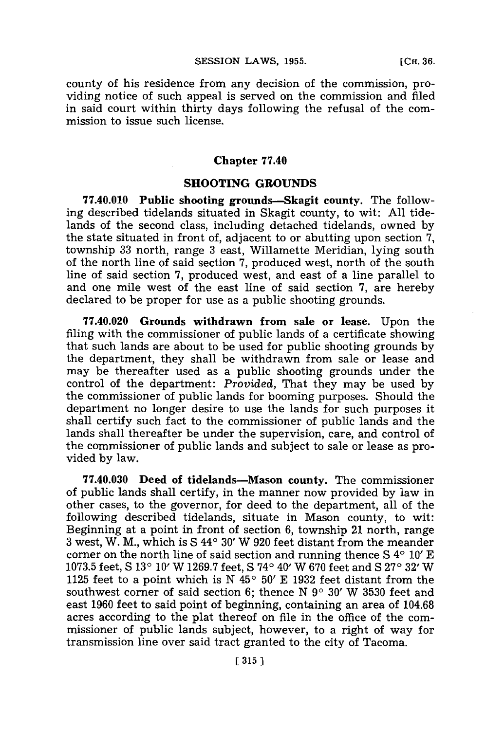county of his residence from any decision of the commission, providing notice of such appeal is served on the commission and filed in said court within thirty days following the refusal of the commission to issue such license.

### **Chapter 77.40**

### **SHOOTING GROUNDS**

**77.40.010 Public shooting grounds-Skagit county.** The following described tidelands situated in Skagit county, to wit: **All** tidelands of the second class, including detached tidelands, owned **by** the state situated in front of, adjacent to or abutting upon section **7,** township 33 north, range 3 east, Willamette Meridian, lying south of the north line of said section **7,** produced west, north of the south line of said section **7,** produced west, and east of a line parallel to and one mile west of the east line of said section **7,** are hereby declared to be proper for use as a public shooting grounds.

**77.40.020 Grounds withdrawn from sale or lease.** Upon the filing with the commissioner of public lands of a certificate showing that such lands are about to be used for public shooting grounds **by** the department, they shall be withdrawn from sale or lease and may be thereafter used as a public shooting grounds under the control of the department: *Provided,* That they may be used **by** the commissioner of public lands for booming purposes. Should the department no longer desire to use the lands for such purposes it shall certify such fact to the commissioner of public lands and the lands shall thereafter be under the supervision, care, and control of the commissioner of public lands and subject to sale or lease as provided **by** law.

**77.40.030 Deed of** tidelands-Mason county. The commissioner of public lands shall certify, in the manner now provided **by** law in other cases, to the governor, for deed to the department, all of the following described tidelands, situate in Mason county, to wit: Beginning at a point in front of section **6,** township 21 north, range **3** west, W. M., which is **S 440** 30' W **920** feet distant from the meander corner on the north line of said section and running thence S 4° 10' E **1073.5** feet, **S 130** 10' W **1269.7** feet, **S 740** 40' W **670** feet and **S 270 32'** W **1125 feet to a point which is N**  $45^{\circ}$  **50' E 1932 feet distant from the** southwest corner of said section 6; thence N 9° 30' W 3530 feet and east **1960** feet to said point of beginning, containing an area of 104.68 acres according to the plat thereof on file in the office of the commissioner of public lands subject, however, to a right of way for transmission line over said tract granted to the city of Tacoma.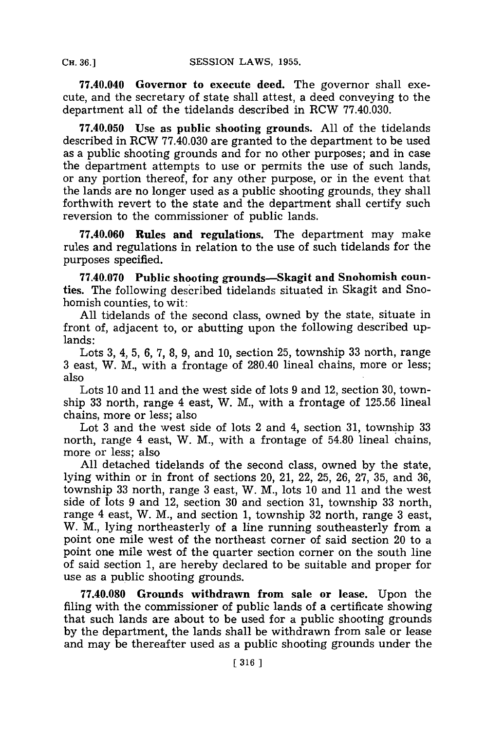**77.40.040 Governor to execute deed.** The governor shall execute, and the secretary of state shall attest, a deed conveying to the department all of the tidelands described in ROW **77.40.030.**

**77.40.050** Use as public shooting grounds. **All** of the tidelands described in ROW **77.40.030** are granted to the department to be used as a public shooting grounds and for no other purposes; and in case the department attempts to use or permits the use of such lands, or any portion thereof, for any other purpose, or in the event that the lands are no longer used as a public shooting grounds, they shall forthwith revert to the state and the department shall certify such reversion to the commissioner of public lands.

**77.40.060 Rules and** regulations. The department may make rules and regulations in relation to the use of such tidelands for the purposes specified.

**77.40.070** Public shooting grounds-Skagit and Snohomish counties. The following described tidelands situated in Skagit and Snohomish counties, to wit:

**All** tidelands of the second class, owned **by** the state, situate in front of, adjacent to, or abutting upon the following described uplands:

Lots **3,** 4, **5, 6, 7, 8, 9,** and **10,** section **25,** township **33** north, range **3** east, W. M., with a frontage of 280.40 lineal chains, more or less; also

Lots **10** and **11** and the west side of lots **9** and 12, section **30,** township **33** north, range 4 east, W. M., with a frontage of **125.56** lineal chains, more or less; also

Lot **3** and the west side of lots 2 and 4, section **31,** township **33** north, range 4 east, W. M., with a frontage of 54.80 lineal chains, more or less; also

**All** detached tidelands of the second class, owned **by** the state, lying within or in front of sections 20, 21, 22, **25, 26, 27, 35,** and **36,** township **33** north, range **3** east, W. M., lots **10** and **11** and the west side of lots **9** and 12, section **30** and section **31,** township **33** north, range 4 east, W. M., and section **1,** township **32** north, range **3** east, W. M., lying northeasterly of a line running southeasterly from a point one mile west of the northeast corner of said section 20 to a point one mile west of the quarter section corner on the south line of said section **1,** are hereby declared to be suitable and proper for use as a public shooting grounds.

**77.40.080 Grounds** withdrawn from sale or lease. Upon the filing with the commissioner of public lands of a certificate showing that such lands are about to be used for a public shooting grounds **by** the department, the lands shall be withdrawn from sale or lease and may be thereafter used as a public shooting grounds under the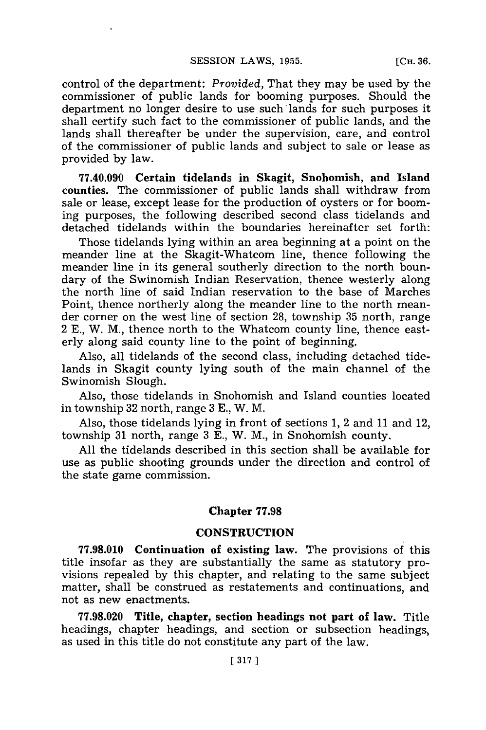control of the department: *Provided,* That they may be used **by** the commissioner of public lands for booming purposes. Should the department no longer desire to use such'lands for such purposes it shall certify such fact to the commissioner of public lands, and the lands shall thereafter be under the supervision, care, and control of the commissioner of public lands and subject to sale or lease as provided **by** law.

**77.40.090** Certain tidelands in Skagit, Snohomish, and **Island** counties. The commissioner of public lands shall withdraw from sale or lease, except lease for the production of oysters or **for** booming purposes, the following described second class tidelands and detached tidelands within the boundaries hereinafter set forth:

Those tidelands lying within an area beginning at a point on the meander line at the Skagit-Whatcom line, thence following the meander line in its general southerly direction to the north boundary of the Swinomish Indian Reservation, thence westerly along the north line of said Indian reservation to the base of Marches Point, thence northerly along the meander line to the north meander corner on the west line of section **28,** township **35** north, range 2 **E.,** W. M., thence north to the Whateom county line, thence easterly along said county line to the point of beginning.

Also, all tidelands of the second class, including detached tidelands in Skagit county lying south of the main channel of the Swinomish Slough.

Also, those tidelands in Snohomish and Island counties located in township **32** north, range **3 E.,** W. M.

Also, those tidelands lying in front of sections **1,** 2 and **11** and 12, township **31** north, range **3 E.,** W. M., in Snohomish county.

**All** the tidelands described in this section shall be available for use as public shooting grounds under the direction and control of the state game commission.

### **Chapter 77.98**

### **CONSTRUCTION**

**77.98.010 Continuation of existing law.** The provisions of this title insofar as they are substantially the same as statutory provisions repealed **by** this chapter, and relating to the same subject matter, shall be construed as restatements and continuations, and not as new enactments.

**77.98.020 Title, chapter, section headings not part of law. Title** headings, chapter headings, and section or subsection headings, as used in this title do not constitute any part of the law.